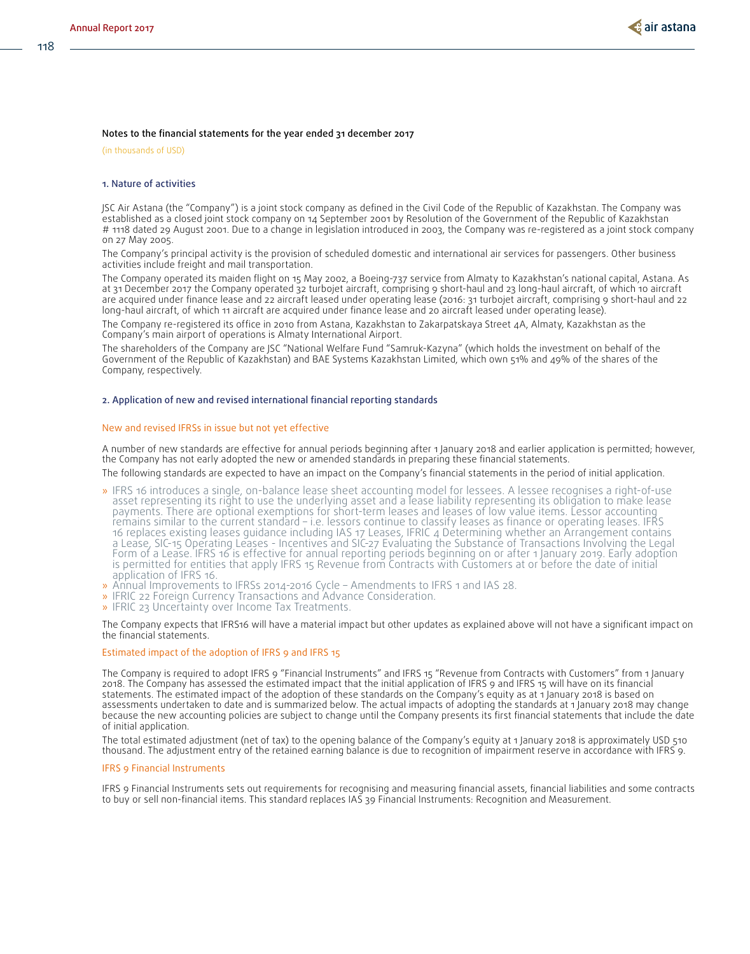# Notes to the financial statements for the year ended 31 december 2017

(in thousands of USD)

#### 1. Nature of activities

JSC Air Astana (the "Company") is a joint stock company as defined in the Civil Code of the Republic of Kazakhstan. The Company was established as a closed joint stock company on 14 September 2001 by Resolution of the Government of the Republic of Kazakhstan # 1118 dated 29 August 2001. Due to a change in legislation introduced in 2003, the Company was re-registered as a joint stock company on 27 May 2005.

The Company's principal activity is the provision of scheduled domestic and international air services for passengers. Other business activities include freight and mail transportation.

The Company operated its maiden flight on 15 May 2002, a Boeing-737 service from Almaty to Kazakhstan's national capital, Astana. As at 31 December 2017 the Company operated 32 turbojet aircraft, comprising 9 short-haul and 23 long-haul aircraft, of which 10 aircraft are acquired under finance lease and 22 aircraft leased under operating lease (2016: 31 turbojet aircraft, comprising 9 short-haul and 22 long-haul aircraft, of which 11 aircraft are acquired under finance lease and 20 aircraft leased under operating lease).

The Company re-registered its office in 2010 from Astana, Kazakhstan to Zakarpatskaya Street 4A, Almaty, Kazakhstan as the Company's main airport of operations is Almaty International Airport.

The shareholders of the Company are JSC "National Welfare Fund "Samruk-Kazyna" (which holds the investment on behalf of the Government of the Republic of Kazakhstan) and BAE Systems Kazakhstan Limited, which own 51% and 49% of the shares of the Company, respectively.

### 2. Application of new and revised international financial reporting standards

#### New and revised IFRSs in issue but not yet effective

A number of new standards are effective for annual periods beginning after 1 January 2018 and earlier application is permitted; however, the Company has not early adopted the new or amended standards in preparing these financial statements.

The following standards are expected to have an impact on the Company's financial statements in the period of initial application.

- » IFRS 16 introduces a single, on-balance lease sheet accounting model for lessees. A lessee recognises a right-of-use asset representing its right to use the underlying asset and a lease liability representing its obligation to make lease payments. There are optional exemptions for short-term leases and leases of low value items. Lessor accounting remains similar to the current standard – i.e. lessors continue to classify leases as finance or operating leases. IFRS 16 replaces existing leases guidance including IAS 17 Leases, IFRIC 4 Determining whether an Arrangement contains a Lease, SIC-15 Operating Leases - Incentives and SIC-27 Evaluating the Substance of Transactions Involving the Legal Form of a Lease. IFRS 16 is effective for annual reporting periods beginning on or after 1 January 2019. Early adoption is permitted for entities that apply IFRS 15 Revenue from Contracts with Customers at or before the date of initial application of IFRS 16.
- » Annual Improvements to IFRSs 2014-2016 Cycle Amendments to IFRS 1 and IAS 28.
- » IFRIC 22 Foreign Currency Transactions and Advance Consideration.
- » IFRIC 23 Uncertainty over Income Tax Treatments.

The Company expects that IFRS16 will have a material impact but other updates as explained above will not have a significant impact on the financial statements.

### Estimated impact of the adoption of IFRS 9 and IFRS 15

The Company is required to adopt IFRS 9 "Financial Instruments" and IFRS 15 "Revenue from Contracts with Customers" from 1 January 2018. The Company has assessed the estimated impact that the initial application of IFRS 9 and IFRS 15 will have on its financial statements. The estimated impact of the adoption of these standards on the Company's equity as at 1 January 2018 is based on assessments undertaken to date and is summarized below. The actual impacts of adopting the standards at 1 January 2018 may change because the new accounting policies are subject to change until the Company presents its first financial statements that include the date of initial application.

The total estimated adjustment (net of tax) to the opening balance of the Company's equity at 1 January 2018 is approximately USD 510 thousand. The adjustment entry of the retained earning balance is due to recognition of impairment reserve in accordance with IFRS 9.

### IFRS 9 Financial Instruments

IFRS 9 Financial Instruments sets out requirements for recognising and measuring financial assets, financial liabilities and some contracts to buy or sell non-financial items. This standard replaces IAS 39 Financial Instruments: Recognition and Measurement.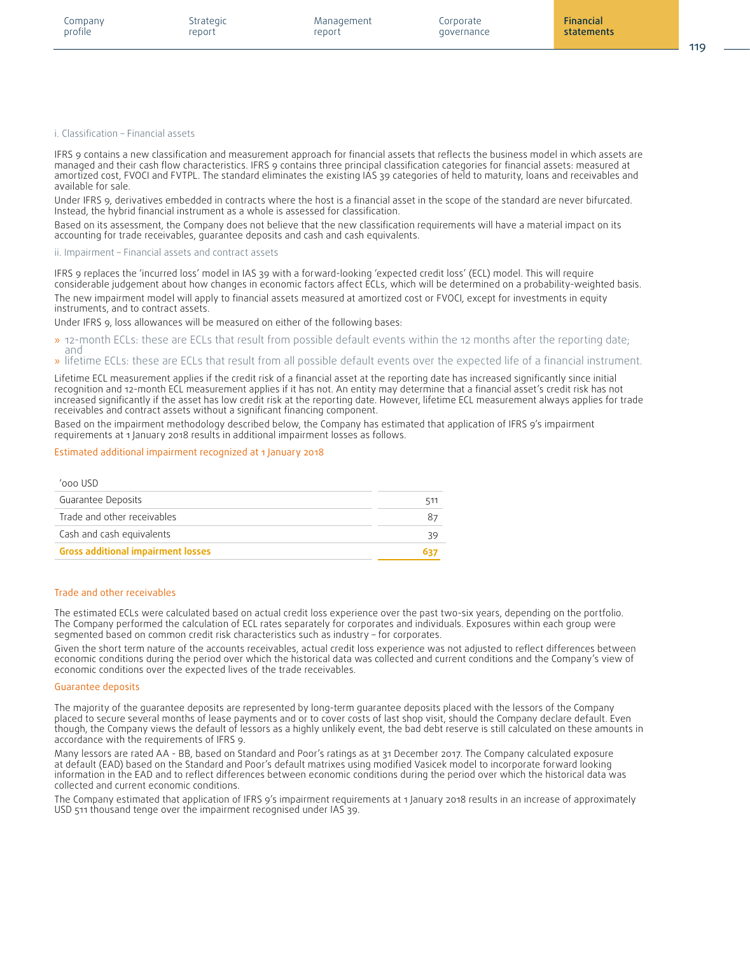### i. Classification – Financial assets

IFRS 9 contains a new classification and measurement approach for financial assets that reflects the business model in which assets are managed and their cash flow characteristics. IFRS 9 contains three principal classification categories for financial assets: measured at amortized cost, FVOCI and FVTPL. The standard eliminates the existing IAS 39 categories of held to maturity, loans and receivables and available for sale.

Under IFRS 9, derivatives embedded in contracts where the host is a financial asset in the scope of the standard are never bifurcated. Instead, the hybrid financial instrument as a whole is assessed for classification.

Based on its assessment, the Company does not believe that the new classification requirements will have a material impact on its accounting for trade receivables, guarantee deposits and cash and cash equivalents.

#### ii. Impairment – Financial assets and contract assets

IFRS 9 replaces the 'incurred loss' model in IAS 39 with a forward-looking 'expected credit loss' (ECL) model. This will require considerable judgement about how changes in economic factors affect ECLs, which will be determined on a probability-weighted basis. The new impairment model will apply to financial assets measured at amortized cost or FVOCI, except for investments in equity instruments, and to contract assets.

Under IFRS 9, loss allowances will be measured on either of the following bases:

» 12-month ECLs: these are ECLs that result from possible default events within the 12 months after the reporting date; and

### » lifetime ECLs: these are ECLs that result from all possible default events over the expected life of a financial instrument.

Lifetime ECL measurement applies if the credit risk of a financial asset at the reporting date has increased significantly since initial recognition and 12-month ECL measurement applies if it has not. An entity may determine that a financial asset's credit risk has not increased significantly if the asset has low credit risk at the reporting date. However, lifetime ECL measurement always applies for trade receivables and contract assets without a significant financing component.

Based on the impairment methodology described below, the Company has estimated that application of IFRS 9's impairment requirements at 1 January 2018 results in additional impairment losses as follows.

### Estimated additional impairment recognized at 1 January 2018

| <b>Gross additional impairment losses</b> |     |
|-------------------------------------------|-----|
| Cash and cash equivalents                 | 39  |
| Trade and other receivables               | 87  |
| Guarantee Deposits                        | 511 |
| 'ooo USD−                                 |     |

### Trade and other receivables

The estimated ECLs were calculated based on actual credit loss experience over the past two-six years, depending on the portfolio. The Company performed the calculation of ECL rates separately for corporates and individuals. Exposures within each group were segmented based on common credit risk characteristics such as industry – for corporates.

Given the short term nature of the accounts receivables, actual credit loss experience was not adjusted to reflect differences between economic conditions during the period over which the historical data was collected and current conditions and the Company's view of economic conditions over the expected lives of the trade receivables.

#### Guarantee deposits

The majority of the guarantee deposits are represented by long-term guarantee deposits placed with the lessors of the Company placed to secure several months of lease payments and or to cover costs of last shop visit, should the Company declare default. Even though, the Company views the default of lessors as a highly unlikely event, the bad debt reserve is still calculated on these amounts in accordance with the requirements of IFRS 9.

Many lessors are rated AA - BB, based on Standard and Poor's ratings as at 31 December 2017. The Company calculated exposure at default (EAD) based on the Standard and Poor's default matrixes using modified Vasicek model to incorporate forward looking information in the EAD and to reflect differences between economic conditions during the period over which the historical data was collected and current economic conditions.

The Company estimated that application of IFRS 9's impairment requirements at 1 January 2018 results in an increase of approximately USD 511 thousand tenge over the impairment recognised under IAS 39.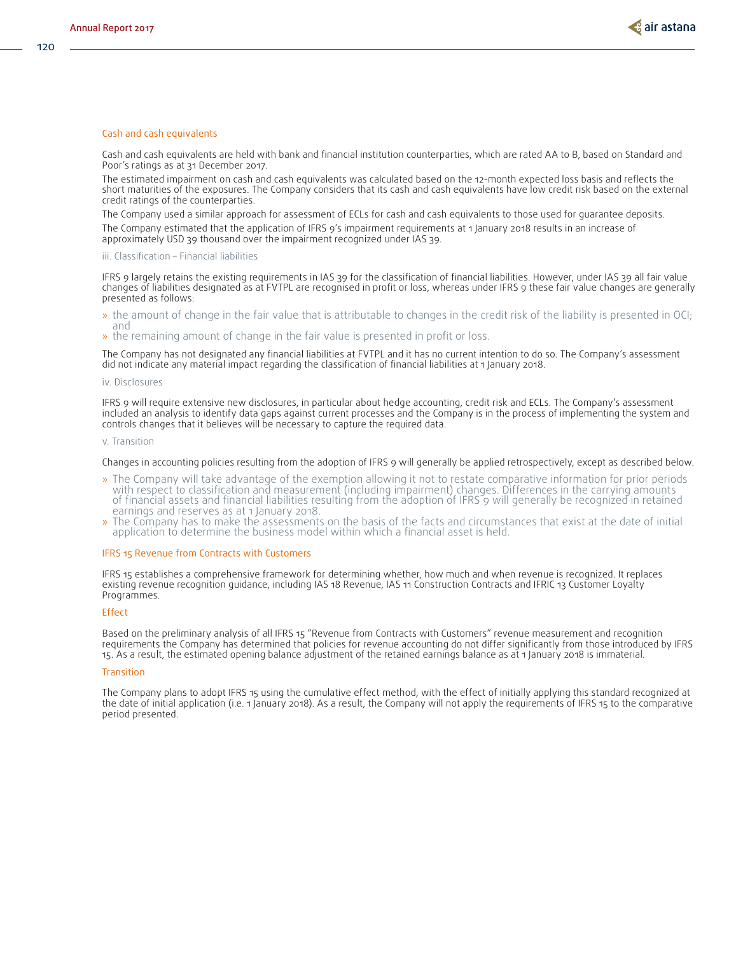

### Cash and cash equivalents

Cash and cash equivalents are held with bank and financial institution counterparties, which are rated AA to B, based on Standard and Poor's ratings as at 31 December 2017.

The estimated impairment on cash and cash equivalents was calculated based on the 12-month expected loss basis and reflects the short maturities of the exposures. The Company considers that its cash and cash equivalents have low credit risk based on the external credit ratings of the counterparties.

The Company used a similar approach for assessment of ECLs for cash and cash equivalents to those used for guarantee deposits. The Company estimated that the application of IFRS 9's impairment requirements at 1 January 2018 results in an increase of approximately USD 39 thousand over the impairment recognized under IAS 39.

#### iii. Classification – Financial liabilities

IFRS 9 largely retains the existing requirements in IAS 39 for the classification of financial liabilities. However, under IAS 39 all fair value changes of liabilities designated as at FVTPL are recognised in profit or loss, whereas under IFRS 9 these fair value changes are generally presented as follows:

- » the amount of change in the fair value that is attributable to changes in the credit risk of the liability is presented in OCI; and
- » the remaining amount of change in the fair value is presented in profit or loss.

The Company has not designated any financial liabilities at FVTPL and it has no current intention to do so. The Company's assessment did not indicate any material impact regarding the classification of financial liabilities at 1 January 2018.

#### iv. Disclosures

IFRS 9 will require extensive new disclosures, in particular about hedge accounting, credit risk and ECLs. The Company's assessment included an analysis to identify data gaps against current processes and the Company is in the process of implementing the system and controls changes that it believes will be necessary to capture the required data.

### v. Transition

Changes in accounting policies resulting from the adoption of IFRS 9 will generally be applied retrospectively, except as described below.

- » The Company will take advantage of the exemption allowing it not to restate comparative information for prior periods with respect to classification and measurement (including impairment) changes. Differences in the carrying amounts of financial assets and financial liabilities resulting from the adoption of IFRS 9 will generally be recognized in retained earnings and reserves as at 1 January 2018.
- » The Company has to make the assessments on the basis of the facts and circumstances that exist at the date of initial application to determine the business model within which a financial asset is held.

### IFRS 15 Revenue from Contracts with Customers

IFRS 15 establishes a comprehensive framework for determining whether, how much and when revenue is recognized. It replaces existing revenue recognition guidance, including IAS 18 Revenue, IAS 11 Construction Contracts and IFRIC 13 Customer Loyalty Programmes.

### Effect

Based on the preliminary analysis of all IFRS 15 "Revenue from Contracts with Customers" revenue measurement and recognition requirements the Company has determined that policies for revenue accounting do not differ significantly from those introduced by IFRS 15. As a result, the estimated opening balance adjustment of the retained earnings balance as at 1 January 2018 is immaterial.

### **Transition**

The Company plans to adopt IFRS 15 using the cumulative effect method, with the effect of initially applying this standard recognized at the date of initial application (i.e. 1 January 2018). As a result, the Company will not apply the requirements of IFRS 15 to the comparative period presented.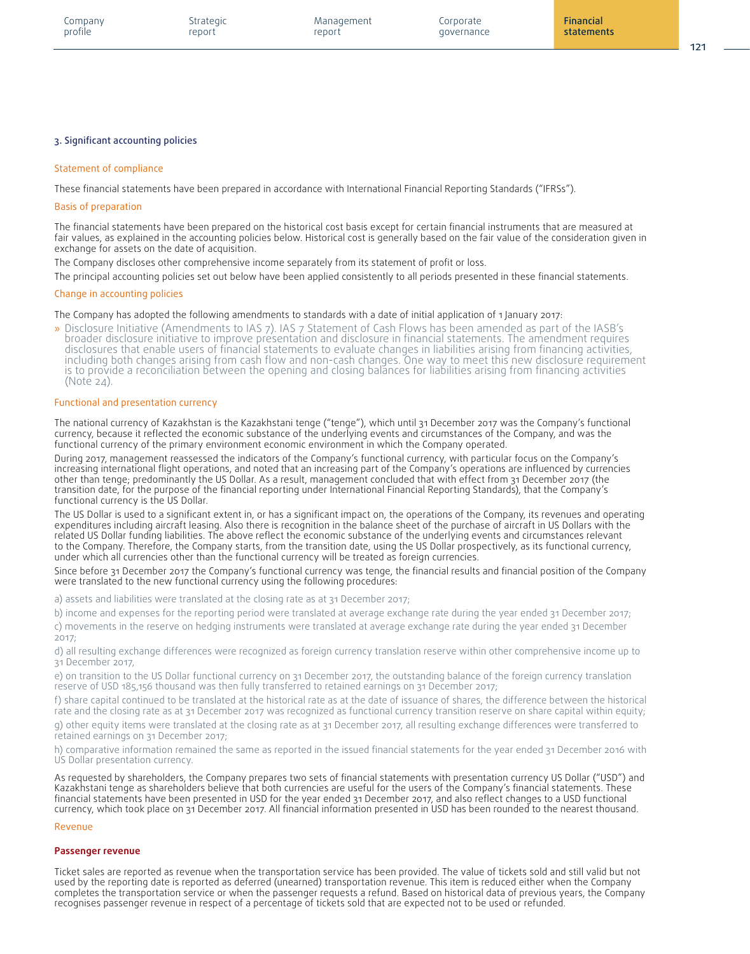Corporate [governance](#page--1-0)

### 3. Significant accounting policies

### Statement of compliance

These financial statements have been prepared in accordance with International Financial Reporting Standards ("IFRSs").

#### Basis of preparation

The financial statements have been prepared on the historical cost basis except for certain financial instruments that are measured at fair values, as explained in the accounting policies below. Historical cost is generally based on the fair value of the consideration given in exchange for assets on the date of acquisition.

The Company discloses other comprehensive income separately from its statement of profit or loss.

The principal accounting policies set out below have been applied consistently to all periods presented in these financial statements.

#### Change in accounting policies

The Company has adopted the following amendments to standards with a date of initial application of 1 January 2017:

» Disclosure Initiative (Amendments to IAS 7). IAS 7 Statement of Cash Flows has been amended as part of the IASB's broader disclosure initiative to improve presentation and disclosure in financial statements. The amendment requires disclosures that enable users of financial statements to evaluate changes in liabilities arising from financing activities, including both changes arising from cash flow and non-cash changes. One way to meet this new disclosure requirement is to provide a reconciliation between the opening and closing balances for liabilities arising from financing activities (Note 24).

### Functional and presentation currency

The national currency of Kazakhstan is the Kazakhstani tenge ("tenge"), which until 31 December 2017 was the Company's functional currency, because it reflected the economic substance of the underlying events and circumstances of the Company, and was the functional currency of the primary environment economic environment in which the Company operated.

During 2017, management reassessed the indicators of the Company's functional currency, with particular focus on the Company's increasing international flight operations, and noted that an increasing part of the Company's operations are influenced by currencies other than tenge; predominantly the US Dollar. As a result, management concluded that with effect from 31 December 2017 (the transition date, for the purpose of the financial reporting under International Financial Reporting Standards), that the Company's functional currency is the US Dollar.

The US Dollar is used to a significant extent in, or has a significant impact on, the operations of the Company, its revenues and operating expenditures including aircraft leasing. Also there is recognition in the balance sheet of the purchase of aircraft in US Dollars with the related US Dollar funding liabilities. The above reflect the economic substance of the underlying events and circumstances relevant to the Company. Therefore, the Company starts, from the transition date, using the US Dollar prospectively, as its functional currency, under which all currencies other than the functional currency will be treated as foreign currencies.

Since before 31 December 2017 the Company's functional currency was tenge, the financial results and financial position of the Company were translated to the new functional currency using the following procedures:

a) assets and liabilities were translated at the closing rate as at 31 December 2017;

b) income and expenses for the reporting period were translated at average exchange rate during the year ended 31 December 2017; c) movements in the reserve on hedging instruments were translated at average exchange rate during the year ended 31 December 2017;

d) all resulting exchange differences were recognized as foreign currency translation reserve within other comprehensive income up to 31 December 2017,

e) on transition to the US Dollar functional currency on 31 December 2017, the outstanding balance of the foreign currency translation reserve of USD 185,156 thousand was then fully transferred to retained earnings on 31 December 2017;

f) share capital continued to be translated at the historical rate as at the date of issuance of shares, the difference between the historical rate and the closing rate as at 31 December 2017 was recognized as functional currency transition reserve on share capital within equity;

g) other equity items were translated at the closing rate as at 31 December 2017, all resulting exchange differences were transferred to retained earnings on 31 December 2017;

h) comparative information remained the same as reported in the issued financial statements for the year ended 31 December 2016 with US Dollar presentation currency.

As requested by shareholders, the Company prepares two sets of financial statements with presentation currency US Dollar ("USD") and Kazakhstani tenge as shareholders believe that both currencies are useful for the users of the Company's financial statements. These financial statements have been presented in USD for the year ended 31 December 2017, and also reflect changes to a USD functional currency, which took place on 31 December 2017. All financial information presented in USD has been rounded to the nearest thousand.

#### Revenue

#### **Passenger revenue**

Ticket sales are reported as revenue when the transportation service has been provided. The value of tickets sold and still valid but not used by the reporting date is reported as deferred (unearned) transportation revenue. This item is reduced either when the Company completes the transportation service or when the passenger requests a refund. Based on historical data of previous years, the Company recognises passenger revenue in respect of a percentage of tickets sold that are expected not to be used or refunded.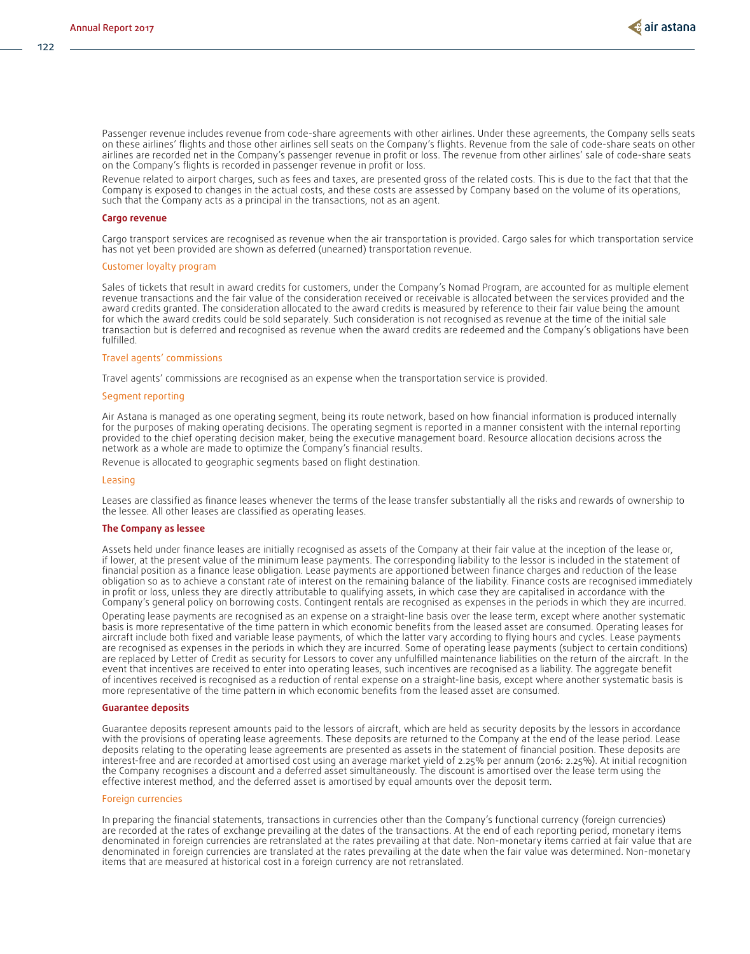

Passenger revenue includes revenue from code-share agreements with other airlines. Under these agreements, the Company sells seats on these airlines' flights and those other airlines sell seats on the Company's flights. Revenue from the sale of code-share seats on other airlines are recorded net in the Company's passenger revenue in profit or loss. The revenue from other airlines' sale of code-share seats on the Company's flights is recorded in passenger revenue in profit or loss.

Revenue related to airport charges, such as fees and taxes, are presented gross of the related costs. This is due to the fact that that the Company is exposed to changes in the actual costs, and these costs are assessed by Company based on the volume of its operations, such that the Company acts as a principal in the transactions, not as an agent.

#### **Cargo revenue**

Cargo transport services are recognised as revenue when the air transportation is provided. Cargo sales for which transportation service has not yet been provided are shown as deferred (unearned) transportation revenue.

#### Customer loyalty program

Sales of tickets that result in award credits for customers, under the Company's Nomad Program, are accounted for as multiple element revenue transactions and the fair value of the consideration received or receivable is allocated between the services provided and the award credits granted. The consideration allocated to the award credits is measured by reference to their fair value being the amount for which the award credits could be sold separately. Such consideration is not recognised as revenue at the time of the initial sale transaction but is deferred and recognised as revenue when the award credits are redeemed and the Company's obligations have been fulfilled.

#### Travel agents' commissions

Travel agents' commissions are recognised as an expense when the transportation service is provided.

#### Segment reporting

Air Astana is managed as one operating segment, being its route network, based on how financial information is produced internally for the purposes of making operating decisions. The operating segment is reported in a manner consistent with the internal reporting provided to the chief operating decision maker, being the executive management board. Resource allocation decisions across the network as a whole are made to optimize the Company's financial results.

Revenue is allocated to geographic segments based on flight destination.

#### Leasing

Leases are classified as finance leases whenever the terms of the lease transfer substantially all the risks and rewards of ownership to the lessee. All other leases are classified as operating leases.

# **The Company as lessee**

Assets held under finance leases are initially recognised as assets of the Company at their fair value at the inception of the lease or, if lower, at the present value of the minimum lease payments. The corresponding liability to the lessor is included in the statement of financial position as a finance lease obligation. Lease payments are apportioned between finance charges and reduction of the lease obligation so as to achieve a constant rate of interest on the remaining balance of the liability. Finance costs are recognised immediately in profit or loss, unless they are directly attributable to qualifying assets, in which case they are capitalised in accordance with the Company's general policy on borrowing costs. Contingent rentals are recognised as expenses in the periods in which they are incurred.

Operating lease payments are recognised as an expense on a straight-line basis over the lease term, except where another systematic basis is more representative of the time pattern in which economic benefits from the leased asset are consumed. Operating leases for aircraft include both fixed and variable lease payments, of which the latter vary according to flying hours and cycles. Lease payments are recognised as expenses in the periods in which they are incurred. Some of operating lease payments (subject to certain conditions) are replaced by Letter of Credit as security for Lessors to cover any unfulfilled maintenance liabilities on the return of the aircraft. In the event that incentives are received to enter into operating leases, such incentives are recognised as a liability. The aggregate benefit of incentives received is recognised as a reduction of rental expense on a straight-line basis, except where another systematic basis is more representative of the time pattern in which economic benefits from the leased asset are consumed.

### **Guarantee deposits**

Guarantee deposits represent amounts paid to the lessors of aircraft, which are held as security deposits by the lessors in accordance with the provisions of operating lease agreements. These deposits are returned to the Company at the end of the lease period. Lease deposits relating to the operating lease agreements are presented as assets in the statement of financial position. These deposits are interest-free and are recorded at amortised cost using an average market yield of 2.25% per annum (2016: 2.25%). At initial recognition the Company recognises a discount and a deferred asset simultaneously. The discount is amortised over the lease term using the effective interest method, and the deferred asset is amortised by equal amounts over the deposit term.

#### Foreign currencies

In preparing the financial statements, transactions in currencies other than the Company's functional currency (foreign currencies) are recorded at the rates of exchange prevailing at the dates of the transactions. At the end of each reporting period, monetary items denominated in foreign currencies are retranslated at the rates prevailing at that date. Non-monetary items carried at fair value that are denominated in foreign currencies are translated at the rates prevailing at the date when the fair value was determined. Non-monetary items that are measured at historical cost in a foreign currency are not retranslated.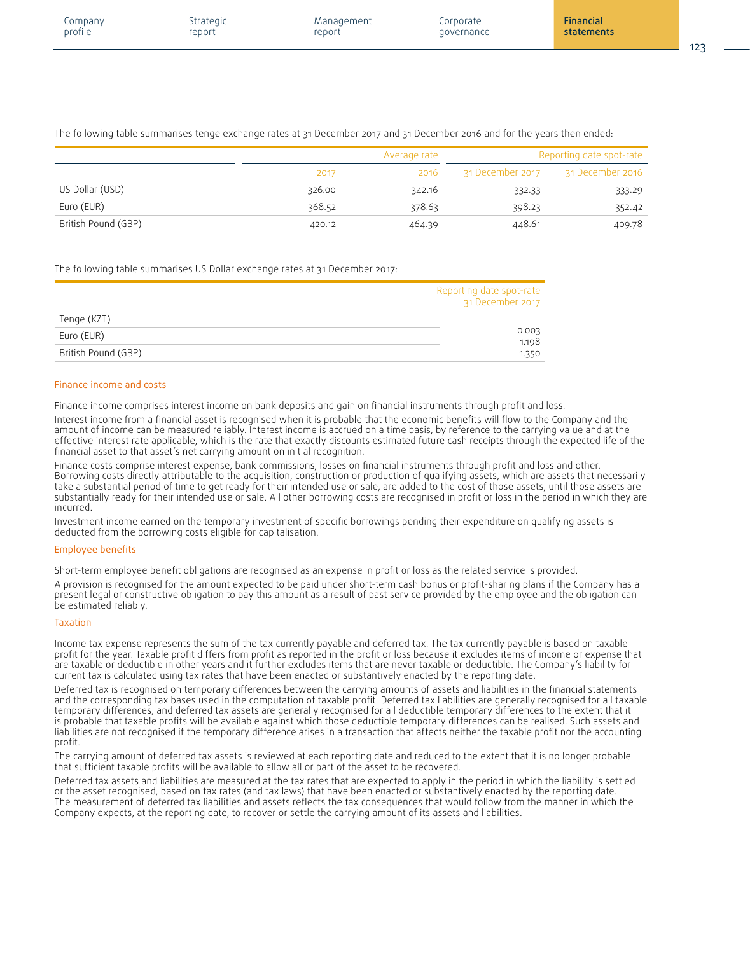| company | Strategic | Management | Corporate  | <b>Financial</b> |
|---------|-----------|------------|------------|------------------|
| profile | report    | report     | governance | statements       |

### The following table summarises tenge exchange rates at 31 December 2017 and 31 December 2016 and for the years then ended:

|                     |        | Average rate |                  | Reporting date spot-rate |
|---------------------|--------|--------------|------------------|--------------------------|
|                     | 2017   | 2016         | 31 December 2017 | 31 December 2016         |
| US Dollar (USD)     | 326.00 | 342.16       | 332.33           | 333.29                   |
| Euro (EUR)          | 368.52 | 378.63       | 398.23           | 352.42                   |
| British Pound (GBP) | 420.12 | 464.39       | 448.61           | 409.78                   |

The following table summarises US Dollar exchange rates at 31 December 2017:

|                     | Reporting date spot-rate<br>31 December 2017 |
|---------------------|----------------------------------------------|
| Tenge (KZT)         |                                              |
| Euro (EUR)          | 0.003<br>1.198                               |
| British Pound (GBP) | 1.350                                        |

# Finance income and costs

Finance income comprises interest income on bank deposits and gain on financial instruments through profit and loss.

Interest income from a financial asset is recognised when it is probable that the economic benefits will flow to the Company and the amount of income can be measured reliably. Interest income is accrued on a time basis, by reference to the carrying value and at the effective interest rate applicable, which is the rate that exactly discounts estimated future cash receipts through the expected life of the financial asset to that asset's net carrying amount on initial recognition.

Finance costs comprise interest expense, bank commissions, losses on financial instruments through profit and loss and other. Borrowing costs directly attributable to the acquisition, construction or production of qualifying assets, which are assets that necessarily take a substantial period of time to get ready for their intended use or sale, are added to the cost of those assets, until those assets are substantially ready for their intended use or sale. All other borrowing costs are recognised in profit or loss in the period in which they are incurred.

Investment income earned on the temporary investment of specific borrowings pending their expenditure on qualifying assets is deducted from the borrowing costs eligible for capitalisation.

### Employee benefits

Short-term employee benefit obligations are recognised as an expense in profit or loss as the related service is provided.

A provision is recognised for the amount expected to be paid under short-term cash bonus or profit-sharing plans if the Company has a present legal or constructive obligation to pay this amount as a result of past service provided by the employee and the obligation can be estimated reliably.

### Taxation

Income tax expense represents the sum of the tax currently payable and deferred tax. The tax currently payable is based on taxable profit for the year. Taxable profit differs from profit as reported in the profit or loss because it excludes items of income or expense that are taxable or deductible in other years and it further excludes items that are never taxable or deductible. The Company's liability for current tax is calculated using tax rates that have been enacted or substantively enacted by the reporting date.

Deferred tax is recognised on temporary differences between the carrying amounts of assets and liabilities in the financial statements and the corresponding tax bases used in the computation of taxable profit. Deferred tax liabilities are generally recognised for all taxable temporary differences, and deferred tax assets are generally recognised for all deductible temporary differences to the extent that it is probable that taxable profits will be available against which those deductible temporary differences can be realised. Such assets and liabilities are not recognised if the temporary difference arises in a transaction that affects neither the taxable profit nor the accounting profit.

The carrying amount of deferred tax assets is reviewed at each reporting date and reduced to the extent that it is no longer probable that sufficient taxable profits will be available to allow all or part of the asset to be recovered.

Deferred tax assets and liabilities are measured at the tax rates that are expected to apply in the period in which the liability is settled or the asset recognised, based on tax rates (and tax laws) that have been enacted or substantively enacted by the reporting date. The measurement of deferred tax liabilities and assets reflects the tax consequences that would follow from the manner in which the Company expects, at the reporting date, to recover or settle the carrying amount of its assets and liabilities.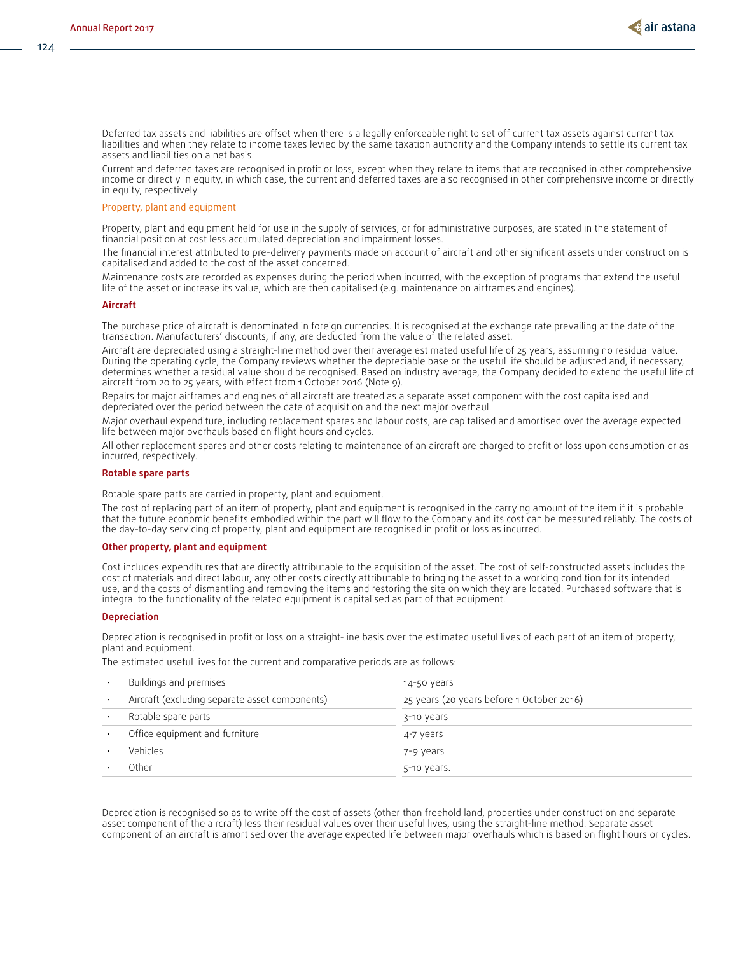

Deferred tax assets and liabilities are offset when there is a legally enforceable right to set off current tax assets against current tax liabilities and when they relate to income taxes levied by the same taxation authority and the Company intends to settle its current tax assets and liabilities on a net basis.

Current and deferred taxes are recognised in profit or loss, except when they relate to items that are recognised in other comprehensive income or directly in equity, in which case, the current and deferred taxes are also recognised in other comprehensive income or directly in equity, respectively.

#### Property, plant and equipment

Property, plant and equipment held for use in the supply of services, or for administrative purposes, are stated in the statement of financial position at cost less accumulated depreciation and impairment losses.

The financial interest attributed to pre-delivery payments made on account of aircraft and other significant assets under construction is capitalised and added to the cost of the asset concerned.

Maintenance costs are recorded as expenses during the period when incurred, with the exception of programs that extend the useful life of the asset or increase its value, which are then capitalised (e.g. maintenance on airframes and engines).

### **Aircraft**

The purchase price of aircraft is denominated in foreign currencies. It is recognised at the exchange rate prevailing at the date of the transaction. Manufacturers' discounts, if any, are deducted from the value of the related asset.

Aircraft are depreciated using a straight-line method over their average estimated useful life of 25 years, assuming no residual value. During the operating cycle, the Company reviews whether the depreciable base or the useful life should be adjusted and, if necessary, determines whether a residual value should be recognised. Based on industry average, the Company decided to extend the useful life of aircraft from 20 to 25 years, with effect from 1 October 2016 (Note 9).

Repairs for major airframes and engines of all aircraft are treated as a separate asset component with the cost capitalised and depreciated over the period between the date of acquisition and the next major overhaul.

Major overhaul expenditure, including replacement spares and labour costs, are capitalised and amortised over the average expected life between major overhauls based on flight hours and cycles.

All other replacement spares and other costs relating to maintenance of an aircraft are charged to profit or loss upon consumption or as incurred, respectively.

### **Rotable spare parts**

Rotable spare parts are carried in property, plant and equipment.

The cost of replacing part of an item of property, plant and equipment is recognised in the carrying amount of the item if it is probable that the future economic benefits embodied within the part will flow to the Company and its cost can be measured reliably. The costs of the day-to-day servicing of property, plant and equipment are recognised in profit or loss as incurred.

### **Other property, plant and equipment**

Cost includes expenditures that are directly attributable to the acquisition of the asset. The cost of self-constructed assets includes the cost of materials and direct labour, any other costs directly attributable to bringing the asset to a working condition for its intended use, and the costs of dismantling and removing the items and restoring the site on which they are located. Purchased software that is integral to the functionality of the related equipment is capitalised as part of that equipment.

### **Depreciation**

Depreciation is recognised in profit or loss on a straight-line basis over the estimated useful lives of each part of an item of property, plant and equipment.

The estimated useful lives for the current and comparative periods are as follows:

| 14-50 years                               |
|-------------------------------------------|
| 25 years (20 years before 1 October 2016) |
| 3-10 years                                |
| 4-7 years                                 |
| 7-9 years                                 |
| 5-10 years.                               |
|                                           |

Depreciation is recognised so as to write off the cost of assets (other than freehold land, properties under construction and separate asset component of the aircraft) less their residual values over their useful lives, using the straight-line method. Separate asset component of an aircraft is amortised over the average expected life between major overhauls which is based on flight hours or cycles.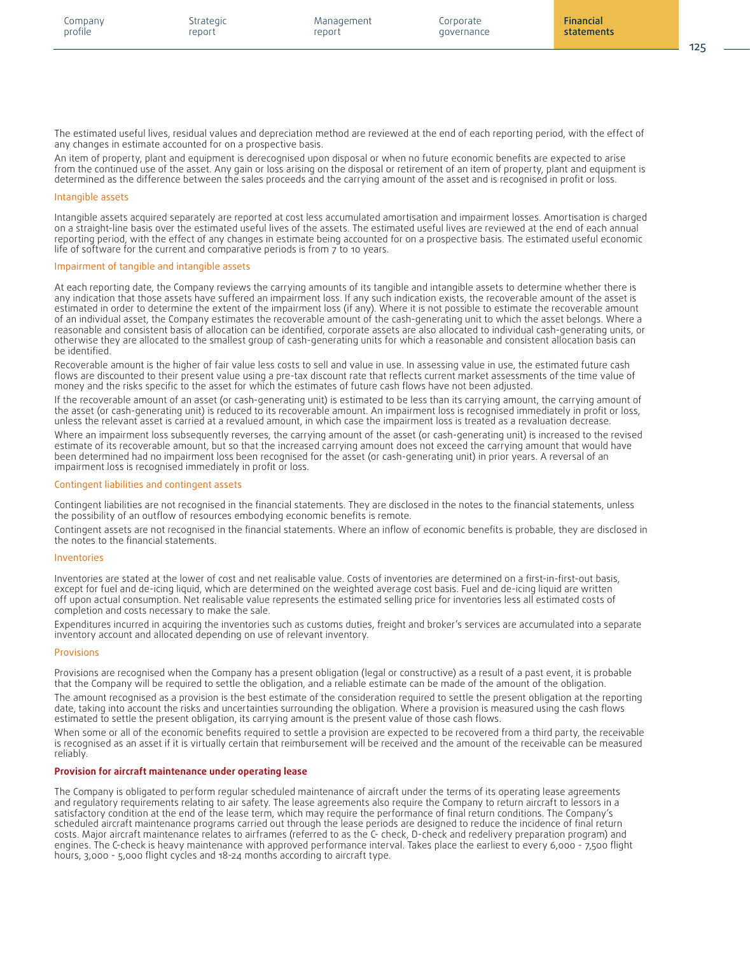Corporate [governance](#page--1-0)

The estimated useful lives, residual values and depreciation method are reviewed at the end of each reporting period, with the effect of any changes in estimate accounted for on a prospective basis.

An item of property, plant and equipment is derecognised upon disposal or when no future economic benefits are expected to arise from the continued use of the asset. Any gain or loss arising on the disposal or retirement of an item of property, plant and equipment is determined as the difference between the sales proceeds and the carrying amount of the asset and is recognised in profit or loss.

### Intangible assets

Intangible assets acquired separately are reported at cost less accumulated amortisation and impairment losses. Amortisation is charged on a straight-line basis over the estimated useful lives of the assets. The estimated useful lives are reviewed at the end of each annual reporting period, with the effect of any changes in estimate being accounted for on a prospective basis. The estimated useful economic life of software for the current and comparative periods is from 7 to 10 years.

### Impairment of tangible and intangible assets

At each reporting date, the Company reviews the carrying amounts of its tangible and intangible assets to determine whether there is any indication that those assets have suffered an impairment loss. If any such indication exists, the recoverable amount of the asset is estimated in order to determine the extent of the impairment loss (if any). Where it is not possible to estimate the recoverable amount of an individual asset, the Company estimates the recoverable amount of the cash-generating unit to which the asset belongs. Where a reasonable and consistent basis of allocation can be identified, corporate assets are also allocated to individual cash-generating units, or otherwise they are allocated to the smallest group of cash-generating units for which a reasonable and consistent allocation basis can be identified.

Recoverable amount is the higher of fair value less costs to sell and value in use. In assessing value in use, the estimated future cash flows are discounted to their present value using a pre-tax discount rate that reflects current market assessments of the time value of money and the risks specific to the asset for which the estimates of future cash flows have not been adjusted.

If the recoverable amount of an asset (or cash-generating unit) is estimated to be less than its carrying amount, the carrying amount of the asset (or cash-generating unit) is reduced to its recoverable amount. An impairment loss is recognised immediately in profit or loss, unless the relevant asset is carried at a revalued amount, in which case the impairment loss is treated as a revaluation decrease.

Where an impairment loss subsequently reverses, the carrying amount of the asset (or cash-generating unit) is increased to the revised estimate of its recoverable amount, but so that the increased carrying amount does not exceed the carrying amount that would have been determined had no impairment loss been recognised for the asset (or cash-generating unit) in prior years. A reversal of an impairment loss is recognised immediately in profit or loss.

# Contingent liabilities and contingent assets

Contingent liabilities are not recognised in the financial statements. They are disclosed in the notes to the financial statements, unless the possibility of an outflow of resources embodying economic benefits is remote.

Contingent assets are not recognised in the financial statements. Where an inflow of economic benefits is probable, they are disclosed in the notes to the financial statements.

### Inventories

Inventories are stated at the lower of cost and net realisable value. Costs of inventories are determined on a first-in-first-out basis, except for fuel and de-icing liquid, which are determined on the weighted average cost basis. Fuel and de-icing liquid are written off upon actual consumption. Net realisable value represents the estimated selling price for inventories less all estimated costs of completion and costs necessary to make the sale.

Expenditures incurred in acquiring the inventories such as customs duties, freight and broker's services are accumulated into a separate inventory account and allocated depending on use of relevant inventory.

# Provisions

Provisions are recognised when the Company has a present obligation (legal or constructive) as a result of a past event, it is probable that the Company will be required to settle the obligation, and a reliable estimate can be made of the amount of the obligation.

The amount recognised as a provision is the best estimate of the consideration required to settle the present obligation at the reporting date, taking into account the risks and uncertainties surrounding the obligation. Where a provision is measured using the cash flows estimated to settle the present obligation, its carrying amount is the present value of those cash flows.

When some or all of the economic benefits required to settle a provision are expected to be recovered from a third party, the receivable is recognised as an asset if it is virtually certain that reimbursement will be received and the amount of the receivable can be measured reliably.

### **Provision for aircraft maintenance under operating lease**

The Company is obligated to perform regular scheduled maintenance of aircraft under the terms of its operating lease agreements and regulatory requirements relating to air safety. The lease agreements also require the Company to return aircraft to lessors in a satisfactory condition at the end of the lease term, which may require the performance of final return conditions. The Company's scheduled aircraft maintenance programs carried out through the lease periods are designed to reduce the incidence of final return costs. Major aircraft maintenance relates to airframes (referred to as the C- check, D-check and redelivery preparation program) and engines. The C-check is heavy maintenance with approved performance interval. Takes place the earliest to every 6,000 - 7,500 flight hours, 3,000 - 5,000 flight cycles and 18-24 months according to aircraft type.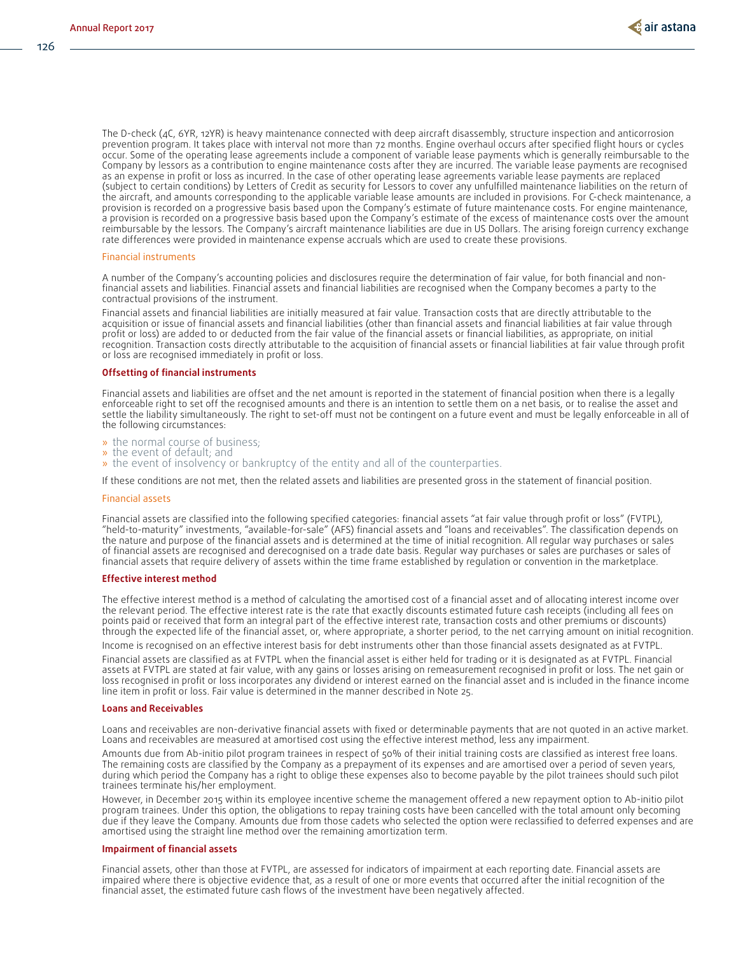

**e** air astana

#### Financial instruments

A number of the Company's accounting policies and disclosures require the determination of fair value, for both financial and nonfinancial assets and liabilities. Financial assets and financial liabilities are recognised when the Company becomes a party to the contractual provisions of the instrument.

Financial assets and financial liabilities are initially measured at fair value. Transaction costs that are directly attributable to the acquisition or issue of financial assets and financial liabilities (other than financial assets and financial liabilities at fair value through profit or loss) are added to or deducted from the fair value of the financial assets or financial liabilities, as appropriate, on initial recognition. Transaction costs directly attributable to the acquisition of financial assets or financial liabilities at fair value through profit or loss are recognised immediately in profit or loss.

### **Offsetting of financial instruments**

Financial assets and liabilities are offset and the net amount is reported in the statement of financial position when there is a legally enforceable right to set off the recognised amounts and there is an intention to settle them on a net basis, or to realise the asset and settle the liability simultaneously. The right to set-off must not be contingent on a future event and must be legally enforceable in all of the following circumstances:

- » the normal course of business;
- » the event of default; and
- » the event of insolvency or bankruptcy of the entity and all of the counterparties.

If these conditions are not met, then the related assets and liabilities are presented gross in the statement of financial position.

#### Financial assets

Financial assets are classified into the following specified categories: financial assets "at fair value through profit or loss" (FVTPL), "held-to-maturity" investments, "available-for-sale" (AFS) financial assets and "loans and receivables". The classification depends on the nature and purpose of the financial assets and is determined at the time of initial recognition. All regular way purchases or sales of financial assets are recognised and derecognised on a trade date basis. Regular way purchases or sales are purchases or sales of financial assets that require delivery of assets within the time frame established by regulation or convention in the marketplace.

#### **Effective interest method**

The effective interest method is a method of calculating the amortised cost of a financial asset and of allocating interest income over the relevant period. The effective interest rate is the rate that exactly discounts estimated future cash receipts (including all fees on points paid or received that form an integral part of the effective interest rate, transaction costs and other premiums or discounts) through the expected life of the financial asset, or, where appropriate, a shorter period, to the net carrying amount on initial recognition. Income is recognised on an effective interest basis for debt instruments other than those financial assets designated as at FVTPL.

Financial assets are classified as at FVTPL when the financial asset is either held for trading or it is designated as at FVTPL. Financial assets at FVTPL are stated at fair value, with any gains or losses arising on remeasurement recognised in profit or loss. The net gain or loss recognised in profit or loss incorporates any dividend or interest earned on the financial asset and is included in the finance income line item in profit or loss. Fair value is determined in the manner described in Note 25.

### **Loans and Receivables**

Loans and receivables are non-derivative financial assets with fixed or determinable payments that are not quoted in an active market. Loans and receivables are measured at amortised cost using the effective interest method, less any impairment.

Amounts due from Ab-initio pilot program trainees in respect of 50% of their initial training costs are classified as interest free loans. The remaining costs are classified by the Company as a prepayment of its expenses and are amortised over a period of seven years, during which period the Company has a right to oblige these expenses also to become payable by the pilot trainees should such pilot trainees terminate his/her employment.

However, in December 2015 within its employee incentive scheme the management offered a new repayment option to Ab-initio pilot program trainees. Under this option, the obligations to repay training costs have been cancelled with the total amount only becoming due if they leave the Company. Amounts due from those cadets who selected the option were reclassified to deferred expenses and are amortised using the straight line method over the remaining amortization term.

#### **Impairment of financial assets**

Financial assets, other than those at FVTPL, are assessed for indicators of impairment at each reporting date. Financial assets are impaired where there is objective evidence that, as a result of one or more events that occurred after the initial recognition of the financial asset, the estimated future cash flows of the investment have been negatively affected.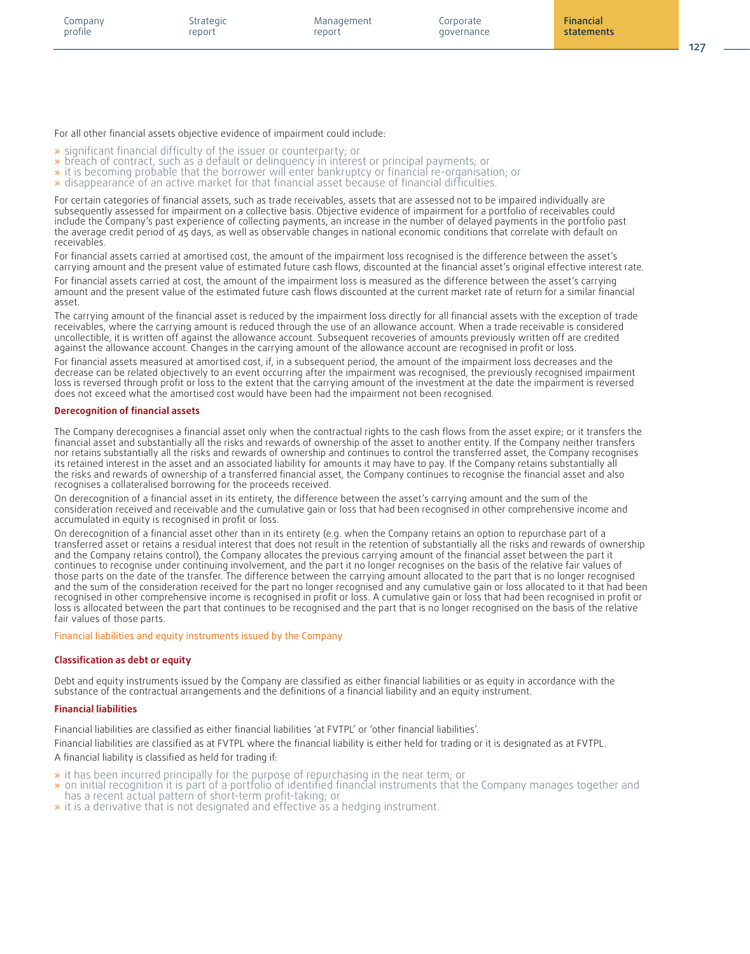# For all other financial assets objective evidence of impairment could include:

- » significant financial difficulty of the issuer or counterparty; or
- » breach of contract, such as a default or delinquency in interest or principal payments; or
- » it is becoming probable that the borrower will enter bankruptcy or financial re-organisation; or
- » disappearance of an active market for that financial asset because of financial difficulties.

For certain categories of financial assets, such as trade receivables, assets that are assessed not to be impaired individually are subsequently assessed for impairment on a collective basis. Objective evidence of impairment for a portfolio of receivables could include the Company's past experience of collecting payments, an increase in the number of delayed payments in the portfolio past the average credit period of 45 days, as well as observable changes in national economic conditions that correlate with default on receivables.

For financial assets carried at amortised cost, the amount of the impairment loss recognised is the difference between the asset's carrying amount and the present value of estimated future cash flows, discounted at the financial asset's original effective interest rate.

For financial assets carried at cost, the amount of the impairment loss is measured as the difference between the asset's carrying amount and the present value of the estimated future cash flows discounted at the current market rate of return for a similar financial asset.

The carrying amount of the financial asset is reduced by the impairment loss directly for all financial assets with the exception of trade receivables, where the carrying amount is reduced through the use of an allowance account. When a trade receivable is considered uncollectible, it is written off against the allowance account. Subsequent recoveries of amounts previously written off are credited against the allowance account. Changes in the carrying amount of the allowance account are recognised in profit or loss.

For financial assets measured at amortised cost, if, in a subsequent period, the amount of the impairment loss decreases and the decrease can be related objectively to an event occurring after the impairment was recognised, the previously recognised impairment loss is reversed through profit or loss to the extent that the carrying amount of the investment at the date the impairment is reversed does not exceed what the amortised cost would have been had the impairment not been recognised.

# **Derecognition of financial assets**

The Company derecognises a financial asset only when the contractual rights to the cash flows from the asset expire; or it transfers the financial asset and substantially all the risks and rewards of ownership of the asset to another entity. If the Company neither transfers nor retains substantially all the risks and rewards of ownership and continues to control the transferred asset, the Company recognises its retained interest in the asset and an associated liability for amounts it may have to pay. If the Company retains substantially all the risks and rewards of ownership of a transferred financial asset, the Company continues to recognise the financial asset and also recognises a collateralised borrowing for the proceeds received.

On derecognition of a financial asset in its entirety, the difference between the asset's carrying amount and the sum of the consideration received and receivable and the cumulative gain or loss that had been recognised in other comprehensive income and accumulated in equity is recognised in profit or loss.

On derecognition of a financial asset other than in its entirety (e.g. when the Company retains an option to repurchase part of a transferred asset or retains a residual interest that does not result in the retention of substantially all the risks and rewards of ownership and the Company retains control), the Company allocates the previous carrying amount of the financial asset between the part it continues to recognise under continuing involvement, and the part it no longer recognises on the basis of the relative fair values of those parts on the date of the transfer. The difference between the carrying amount allocated to the part that is no longer recognised and the sum of the consideration received for the part no longer recognised and any cumulative gain or loss allocated to it that had been recognised in other comprehensive income is recognised in profit or loss. A cumulative gain or loss that had been recognised in profit or loss is allocated between the part that continues to be recognised and the part that is no longer recognised on the basis of the relative fair values of those parts.

### Financial liabilities and equity instruments issued by the Company

### **Classification as debt or equity**

Debt and equity instruments issued by the Company are classified as either financial liabilities or as equity in accordance with the substance of the contractual arrangements and the definitions of a financial liability and an equity instrument.

### **Financial liabilities**

Financial liabilities are classified as either financial liabilities 'at FVTPL' or 'other financial liabilities'.

Financial liabilities are classified as at FVTPL where the financial liability is either held for trading or it is designated as at FVTPL.

A financial liability is classified as held for trading if:

- » it has been incurred principally for the purpose of repurchasing in the near term; or
- » on initial recognition it is part of a portfolio of identified financial instruments that the Company manages together and has a recent actual pattern of short-term profit-taking; or
- » it is a derivative that is not designated and effective as a hedging instrument.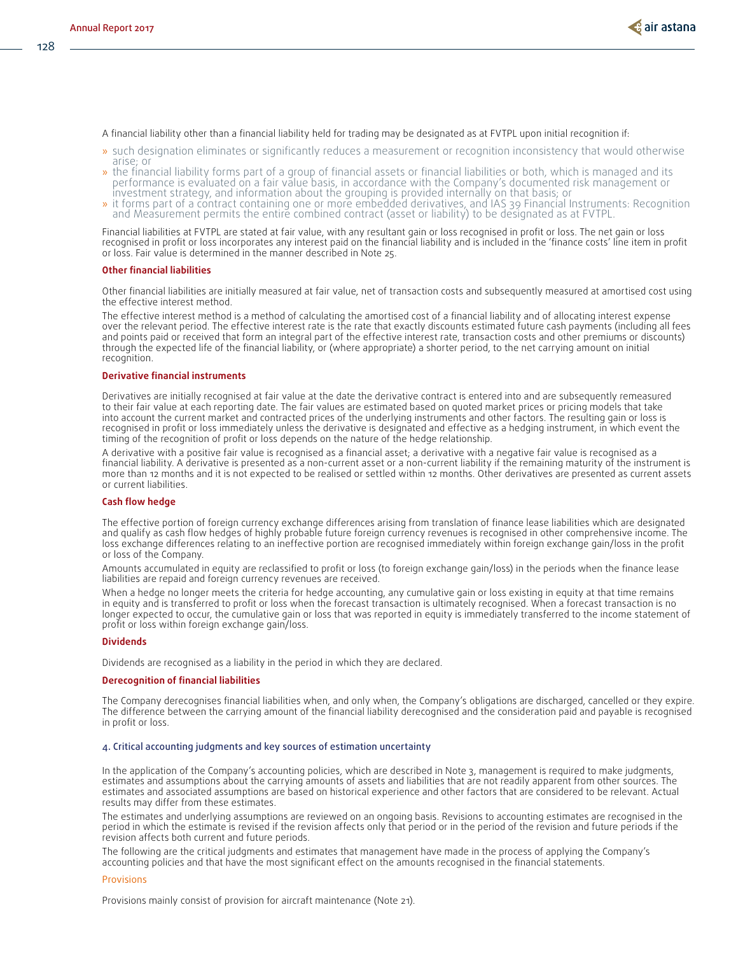

A financial liability other than a financial liability held for trading may be designated as at FVTPL upon initial recognition if:

- » such designation eliminates or significantly reduces a measurement or recognition inconsistency that would otherwise arise; or
- » the financial liability forms part of a group of financial assets or financial liabilities or both, which is managed and its performance is evaluated on a fair value basis, in accordance with the Company's documented risk management or investment strategy, and information about the grouping is provided internally on that basis; or
- » it forms part of a contract containing one or more embedded derivatives, and IAS 39 Financial Instruments: Recognition and Measurement permits the entire combined contract (asset or liability) to be designated as at FVTPL.

Financial liabilities at FVTPL are stated at fair value, with any resultant gain or loss recognised in profit or loss. The net gain or loss recognised in profit or loss incorporates any interest paid on the financial liability and is included in the 'finance costs' line item in profit or loss. Fair value is determined in the manner described in Note 25.

### **Other financial liabilities**

Other financial liabilities are initially measured at fair value, net of transaction costs and subsequently measured at amortised cost using the effective interest method.

The effective interest method is a method of calculating the amortised cost of a financial liability and of allocating interest expense over the relevant period. The effective interest rate is the rate that exactly discounts estimated future cash payments (including all fees and points paid or received that form an integral part of the effective interest rate, transaction costs and other premiums or discounts) through the expected life of the financial liability, or (where appropriate) a shorter period, to the net carrying amount on initial recognition.

#### **Derivative financial instruments**

Derivatives are initially recognised at fair value at the date the derivative contract is entered into and are subsequently remeasured to their fair value at each reporting date. The fair values are estimated based on quoted market prices or pricing models that take into account the current market and contracted prices of the underlying instruments and other factors. The resulting gain or loss is recognised in profit or loss immediately unless the derivative is designated and effective as a hedging instrument, in which event the timing of the recognition of profit or loss depends on the nature of the hedge relationship.

A derivative with a positive fair value is recognised as a financial asset; a derivative with a negative fair value is recognised as a financial liability. A derivative is presented as a non-current asset or a non-current liability if the remaining maturity of the instrument is more than 12 months and it is not expected to be realised or settled within 12 months. Other derivatives are presented as current assets or current liabilities.

### **Cash flow hedge**

The effective portion of foreign currency exchange differences arising from translation of finance lease liabilities which are designated and qualify as cash flow hedges of highly probable future foreign currency revenues is recognised in other comprehensive income. The loss exchange differences relating to an ineffective portion are recognised immediately within foreign exchange gain/loss in the profit or loss of the Company.

Amounts accumulated in equity are reclassified to profit or loss (to foreign exchange gain/loss) in the periods when the finance lease liabilities are repaid and foreign currency revenues are received.

When a hedge no longer meets the criteria for hedge accounting, any cumulative gain or loss existing in equity at that time remains in equity and is transferred to profit or loss when the forecast transaction is ultimately recognised. When a forecast transaction is no longer expected to occur, the cumulative gain or loss that was reported in equity is immediately transferred to the income statement of profit or loss within foreign exchange gain/loss.

### **Dividends**

Dividends are recognised as a liability in the period in which they are declared.

### **Derecognition of financial liabilities**

The Company derecognises financial liabilities when, and only when, the Company's obligations are discharged, cancelled or they expire. The difference between the carrying amount of the financial liability derecognised and the consideration paid and payable is recognised in profit or loss.

### 4. Critical accounting judgments and key sources of estimation uncertainty

In the application of the Company's accounting policies, which are described in Note 3, management is required to make judgments, estimates and assumptions about the carrying amounts of assets and liabilities that are not readily apparent from other sources. The estimates and associated assumptions are based on historical experience and other factors that are considered to be relevant. Actual results may differ from these estimates.

The estimates and underlying assumptions are reviewed on an ongoing basis. Revisions to accounting estimates are recognised in the period in which the estimate is revised if the revision affects only that period or in the period of the revision and future periods if the revision affects both current and future periods.

The following are the critical judgments and estimates that management have made in the process of applying the Company's accounting policies and that have the most significant effect on the amounts recognised in the financial statements.

#### Provisions

Provisions mainly consist of provision for aircraft maintenance (Note 21).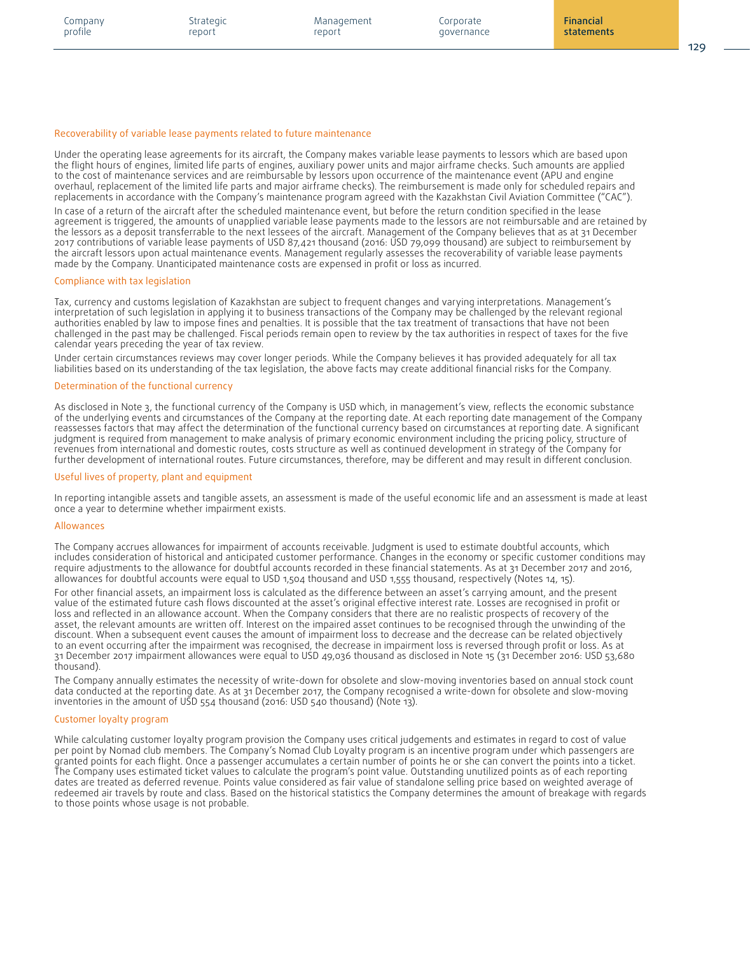### Recoverability of variable lease payments related to future maintenance

Under the operating lease agreements for its aircraft, the Company makes variable lease payments to lessors which are based upon the flight hours of engines, limited life parts of engines, auxiliary power units and major airframe checks. Such amounts are applied to the cost of maintenance services and are reimbursable by lessors upon occurrence of the maintenance event (APU and engine overhaul, replacement of the limited life parts and major airframe checks). The reimbursement is made only for scheduled repairs and replacements in accordance with the Company's maintenance program agreed with the Kazakhstan Civil Aviation Committee ("CAC").

In case of a return of the aircraft after the scheduled maintenance event, but before the return condition specified in the lease agreement is triggered, the amounts of unapplied variable lease payments made to the lessors are not reimbursable and are retained by the lessors as a deposit transferrable to the next lessees of the aircraft. Management of the Company believes that as at 31 December 2017 contributions of variable lease payments of USD 87,421 thousand (2016: USD 79,099 thousand) are subject to reimbursement by the aircraft lessors upon actual maintenance events. Management regularly assesses the recoverability of variable lease payments made by the Company. Unanticipated maintenance costs are expensed in profit or loss as incurred.

### Compliance with tax legislation

Tax, currency and customs legislation of Kazakhstan are subject to frequent changes and varying interpretations. Management's interpretation of such legislation in applying it to business transactions of the Company may be challenged by the relevant regional authorities enabled by law to impose fines and penalties. It is possible that the tax treatment of transactions that have not been challenged in the past may be challenged. Fiscal periods remain open to review by the tax authorities in respect of taxes for the five calendar years preceding the year of tax review.

Under certain circumstances reviews may cover longer periods. While the Company believes it has provided adequately for all tax liabilities based on its understanding of the tax legislation, the above facts may create additional financial risks for the Company.

### Determination of the functional currency

As disclosed in Note 3, the functional currency of the Company is USD which, in management's view, reflects the economic substance of the underlying events and circumstances of the Company at the reporting date. At each reporting date management of the Company reassesses factors that may affect the determination of the functional currency based on circumstances at reporting date. A significant judgment is required from management to make analysis of primary economic environment including the pricing policy, structure of revenues from international and domestic routes, costs structure as well as continued development in strategy of the Company for further development of international routes. Future circumstances, therefore, may be different and may result in different conclusion.

### Useful lives of property, plant and equipment

In reporting intangible assets and tangible assets, an assessment is made of the useful economic life and an assessment is made at least once a year to determine whether impairment exists.

#### Allowances

The Company accrues allowances for impairment of accounts receivable. Judgment is used to estimate doubtful accounts, which includes consideration of historical and anticipated customer performance. Changes in the economy or specific customer conditions may require adjustments to the allowance for doubtful accounts recorded in these financial statements. As at 31 December 2017 and 2016, allowances for doubtful accounts were equal to USD 1,504 thousand and USD 1,555 thousand, respectively (Notes 14, 15).

For other financial assets, an impairment loss is calculated as the difference between an asset's carrying amount, and the present value of the estimated future cash flows discounted at the asset's original effective interest rate. Losses are recognised in profit or loss and reflected in an allowance account. When the Company considers that there are no realistic prospects of recovery of the asset, the relevant amounts are written off. Interest on the impaired asset continues to be recognised through the unwinding of the discount. When a subsequent event causes the amount of impairment loss to decrease and the decrease can be related objectively to an event occurring after the impairment was recognised, the decrease in impairment loss is reversed through profit or loss. As at 31 December 2017 impairment allowances were equal to USD 49,036 thousand as disclosed in Note 15 (31 December 2016: USD 53,680 thousand).

The Company annually estimates the necessity of write-down for obsolete and slow-moving inventories based on annual stock count data conducted at the reporting date. As at 31 December 2017, the Company recognised a write-down for obsolete and slow-moving inventories in the amount of USD 554 thousand (2016: USD 540 thousand) (Note 13).

### Customer loyalty program

While calculating customer loyalty program provision the Company uses critical judgements and estimates in regard to cost of value per point by Nomad club members. The Company's Nomad Club Loyalty program is an incentive program under which passengers are granted points for each flight. Once a passenger accumulates a certain number of points he or she can convert the points into a ticket. The Company uses estimated ticket values to calculate the program's point value. Outstanding unutilized points as of each reporting dates are treated as deferred revenue. Points value considered as fair value of standalone selling price based on weighted average of redeemed air travels by route and class. Based on the historical statistics the Company determines the amount of breakage with regards to those points whose usage is not probable.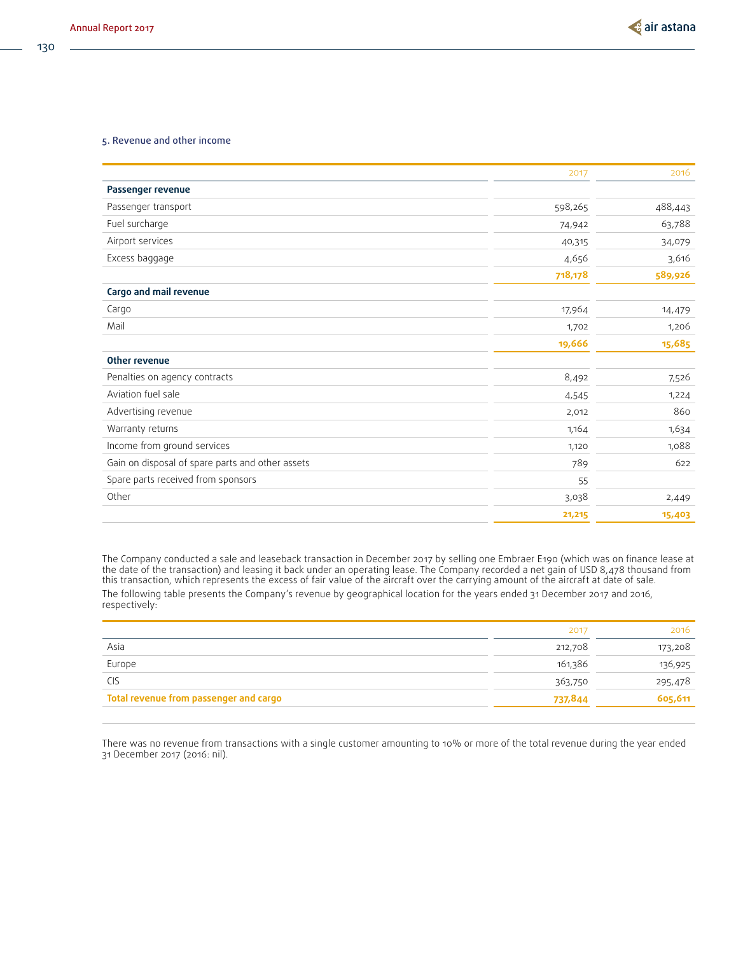5. Revenue and other income

|                                                  | 2017    | 2016    |
|--------------------------------------------------|---------|---------|
| Passenger revenue                                |         |         |
| Passenger transport                              | 598,265 | 488,443 |
| Fuel surcharge                                   | 74,942  | 63,788  |
| Airport services                                 | 40,315  | 34,079  |
| Excess baggage                                   | 4,656   | 3,616   |
|                                                  | 718,178 | 589,926 |
| Cargo and mail revenue                           |         |         |
| Cargo                                            | 17,964  | 14,479  |
| Mail                                             | 1,702   | 1,206   |
|                                                  | 19,666  | 15,685  |
| Other revenue                                    |         |         |
| Penalties on agency contracts                    | 8,492   | 7,526   |
| Aviation fuel sale                               | 4,545   | 1,224   |
| Advertising revenue                              | 2,012   | 860     |
| Warranty returns                                 | 1,164   | 1,634   |
| Income from ground services                      | 1,120   | 1,088   |
| Gain on disposal of spare parts and other assets | 789     | 622     |
| Spare parts received from sponsors               | 55      |         |
| Other                                            | 3,038   | 2,449   |
|                                                  | 21,215  | 15,403  |

The Company conducted a sale and leaseback transaction in December 2017 by selling one Embraer E190 (which was on finance lease at the date of the transaction) and leasing it back under an operating lease. The Company recorded a net gain of USD 8,478 thousand from this transaction, which represents the excess of fair value of the aircraft over the carrying amount of the aircraft at date of sale. The following table presents the Company's revenue by geographical location for the years ended 31 December 2017 and 2016, respectively:

|                                        | 2017    | 2016    |
|----------------------------------------|---------|---------|
| Asia                                   | 212,708 | 173,208 |
| Europe                                 | 161,386 | 136,925 |
| <b>CIS</b>                             | 363,750 | 295,478 |
| Total revenue from passenger and cargo | 737,844 | 605,611 |
|                                        |         |         |

There was no revenue from transactions with a single customer amounting to 10% or more of the total revenue during the year ended 31 December 2017 (2016: nil).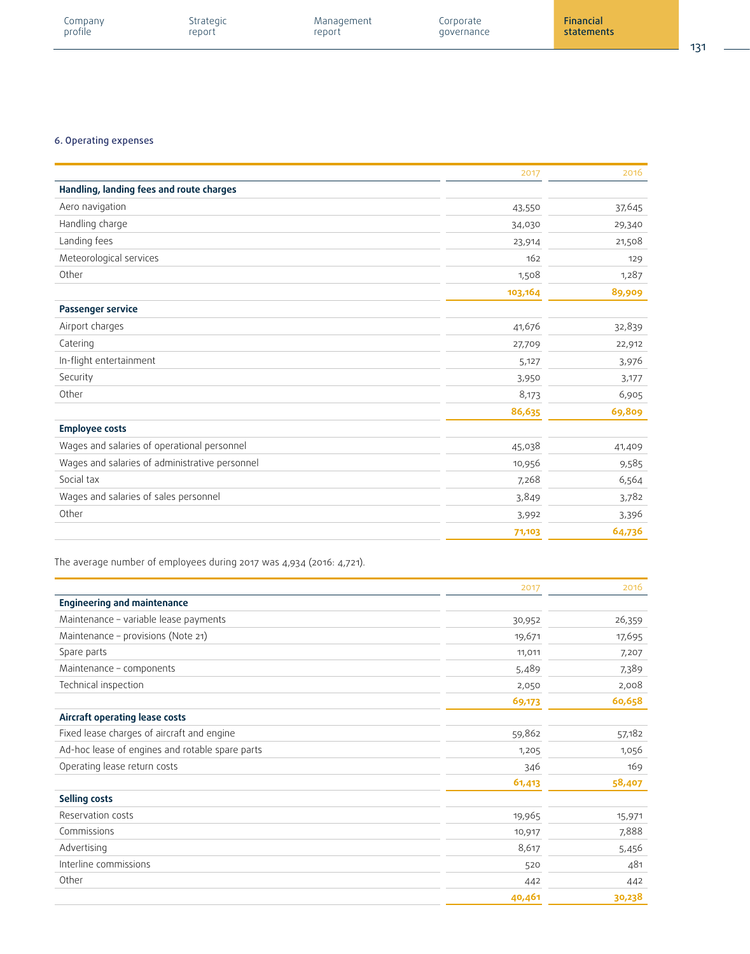| <b>Financial</b><br>Strategic<br>Management<br>Corporate<br>company<br>profile<br>report<br>statements<br>report<br>qovernance |  |
|--------------------------------------------------------------------------------------------------------------------------------|--|
|--------------------------------------------------------------------------------------------------------------------------------|--|

131

# 6. Operating expenses

|                                                | 2017    | 2016   |
|------------------------------------------------|---------|--------|
| Handling, landing fees and route charges       |         |        |
| Aero navigation                                | 43,550  | 37,645 |
| Handling charge                                | 34,030  | 29,340 |
| Landing fees                                   | 23,914  | 21,508 |
| Meteorological services                        | 162     | 129    |
| Other                                          | 1,508   | 1,287  |
|                                                | 103,164 | 89,909 |
| Passenger service                              |         |        |
| Airport charges                                | 41,676  | 32,839 |
| Catering                                       | 27,709  | 22,912 |
| In-flight entertainment                        | 5,127   | 3,976  |
| Security                                       | 3,950   | 3,177  |
| Other                                          | 8,173   | 6,905  |
|                                                | 86,635  | 69,809 |
| <b>Employee costs</b>                          |         |        |
| Wages and salaries of operational personnel    | 45,038  | 41,409 |
| Wages and salaries of administrative personnel | 10,956  | 9,585  |
| Social tax                                     | 7,268   | 6,564  |
| Wages and salaries of sales personnel          | 3,849   | 3,782  |
| Other                                          | 3,992   | 3,396  |
|                                                | 71,103  | 64,736 |

The average number of employees during 2017 was 4,934 (2016: 4,721).

|                                                 | 2017   | 2016   |
|-------------------------------------------------|--------|--------|
| <b>Engineering and maintenance</b>              |        |        |
| Maintenance - variable lease payments           | 30,952 | 26,359 |
| Maintenance - provisions (Note 21)              | 19,671 | 17,695 |
| Spare parts                                     | 11,011 | 7,207  |
| Maintenance - components                        | 5,489  | 7,389  |
| Technical inspection                            | 2,050  | 2,008  |
|                                                 | 69,173 | 60,658 |
| <b>Aircraft operating lease costs</b>           |        |        |
| Fixed lease charges of aircraft and engine      | 59,862 | 57,182 |
| Ad-hoc lease of engines and rotable spare parts | 1,205  | 1,056  |
| Operating lease return costs                    | 346    | 169    |
|                                                 | 61,413 | 58,407 |
| <b>Selling costs</b>                            |        |        |
| Reservation costs                               | 19,965 | 15,971 |
| Commissions                                     | 10,917 | 7,888  |
| Advertising                                     | 8,617  | 5,456  |
| Interline commissions                           | 520    | 481    |
| Other                                           | 442    | 442    |
|                                                 | 40,461 | 30,238 |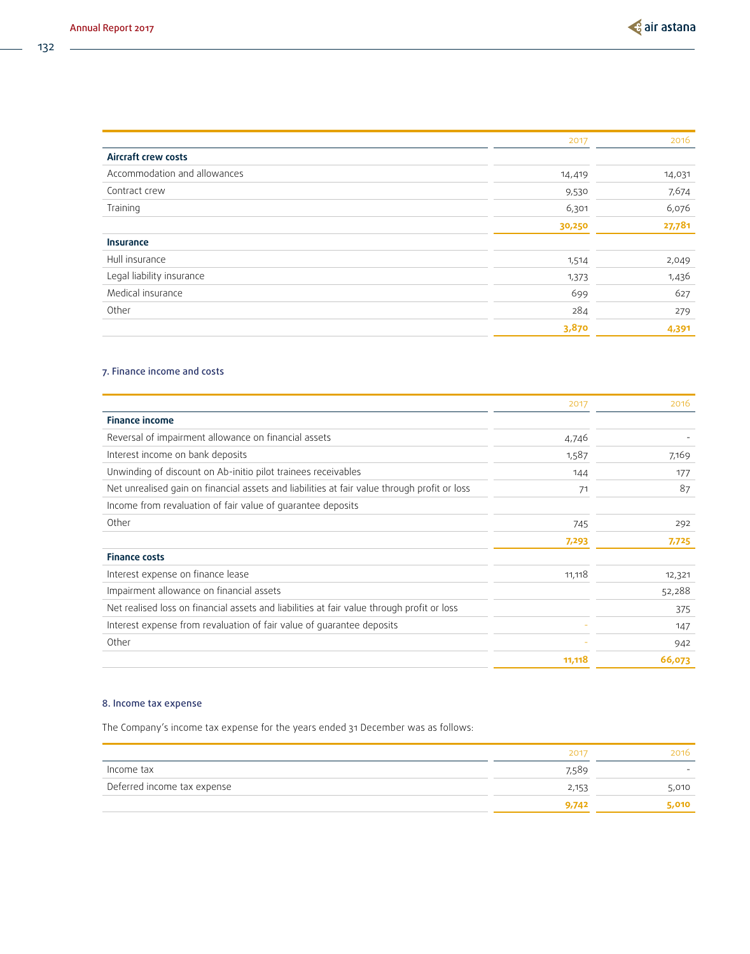|                              | 2017   | 2016   |
|------------------------------|--------|--------|
| <b>Aircraft crew costs</b>   |        |        |
| Accommodation and allowances | 14,419 | 14,031 |
| Contract crew                | 9,530  | 7,674  |
| Training                     | 6,301  | 6,076  |
|                              | 30,250 | 27,781 |
| Insurance                    |        |        |
| Hull insurance               | 1,514  | 2,049  |
| Legal liability insurance    | 1,373  | 1,436  |
| Medical insurance            | 699    | 627    |
| Other                        | 284    | 279    |
|                              | 3,870  | 4,391  |

# 7. Finance income and costs

|                                                                                              | 2017   | 2016   |
|----------------------------------------------------------------------------------------------|--------|--------|
| <b>Finance income</b>                                                                        |        |        |
| Reversal of impairment allowance on financial assets                                         | 4,746  |        |
| Interest income on bank deposits                                                             | 1,587  | 7,169  |
| Unwinding of discount on Ab-initio pilot trainees receivables                                | 144    | 177    |
| Net unrealised gain on financial assets and liabilities at fair value through profit or loss | 71     | 87     |
| Income from revaluation of fair value of quarantee deposits                                  |        |        |
| Other                                                                                        | 745    | 292    |
|                                                                                              | 7,293  | 7,725  |
| <b>Finance costs</b>                                                                         |        |        |
| Interest expense on finance lease                                                            | 11,118 | 12,321 |
| Impairment allowance on financial assets                                                     |        | 52,288 |
| Net realised loss on financial assets and liabilities at fair value through profit or loss   |        | 375    |
| Interest expense from revaluation of fair value of quarantee deposits                        |        | 147    |
| Other                                                                                        |        | 942    |
|                                                                                              | 11,118 | 66,073 |

# 8. Income tax expense

The Company's income tax expense for the years ended 31 December was as follows:

|                             | 2017  | 2016  |
|-----------------------------|-------|-------|
| Income tax                  | 7,589 |       |
| Deferred income tax expense | 2,153 | 5,010 |
|                             | 9.742 | 5,010 |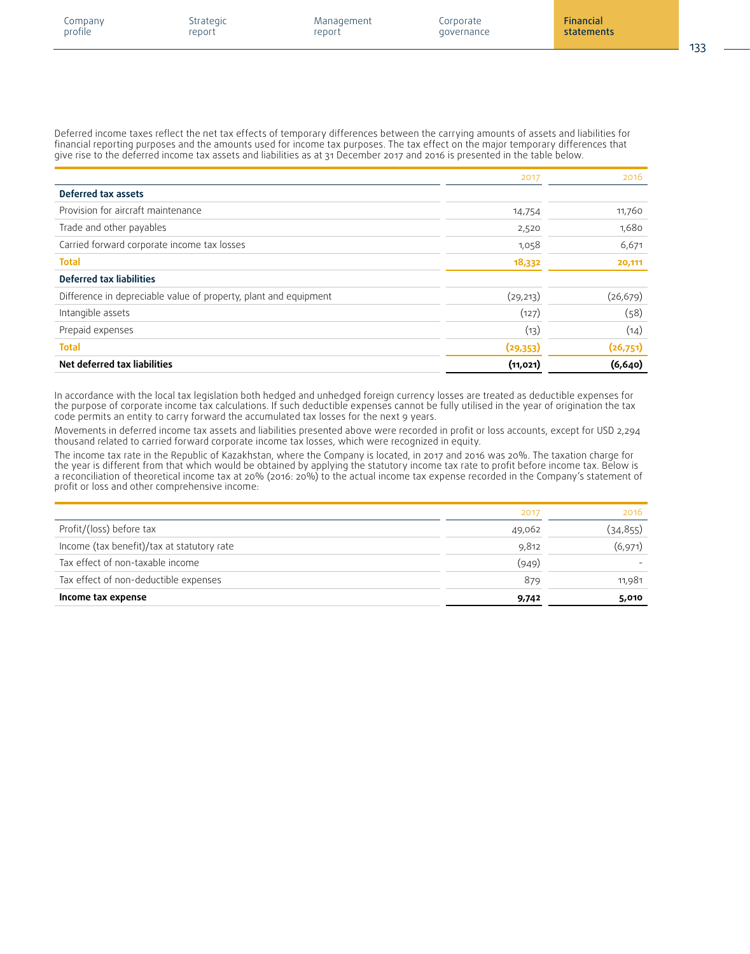Deferred income taxes reflect the net tax effects of temporary differences between the carrying amounts of assets and liabilities for financial reporting purposes and the amounts used for income tax purposes. The tax effect on the major temporary differences that give rise to the deferred income tax assets and liabilities as at 31 December 2017 and 2016 is presented in the table below.

|                                                                  | 2017      | 2016      |
|------------------------------------------------------------------|-----------|-----------|
| Deferred tax assets                                              |           |           |
| Provision for aircraft maintenance                               | 14,754    | 11,760    |
| Trade and other payables                                         | 2,520     | 1,680     |
| Carried forward corporate income tax losses                      | 1,058     | 6,671     |
| <b>Total</b>                                                     | 18,332    | 20,111    |
| Deferred tax liabilities                                         |           |           |
| Difference in depreciable value of property, plant and equipment | (29, 213) | (26, 679) |
| Intangible assets                                                | (127)     | (58)      |
| Prepaid expenses                                                 | (13)      | (14)      |
| <b>Total</b>                                                     | (29,353)  | (26,751)  |
| Net deferred tax liabilities                                     | (11, 021) | (6,640)   |

In accordance with the local tax legislation both hedged and unhedged foreign currency losses are treated as deductible expenses for the purpose of corporate income tax calculations. If such deductible expenses cannot be fully utilised in the year of origination the tax code permits an entity to carry forward the accumulated tax losses for the next 9 years.

Movements in deferred income tax assets and liabilities presented above were recorded in profit or loss accounts, except for USD 2,294 thousand related to carried forward corporate income tax losses, which were recognized in equity.

The income tax rate in the Republic of Kazakhstan, where the Company is located, in 2017 and 2016 was 20%. The taxation charge for the year is different from that which would be obtained by applying the statutory income tax rate to profit before income tax. Below is a reconciliation of theoretical income tax at 20% (2016: 20%) to the actual income tax expense recorded in the Company's statement of profit or loss and other comprehensive income:

|                                            | 2017   | 2016      |
|--------------------------------------------|--------|-----------|
| Profit/(loss) before tax                   | 49,062 | (34, 855) |
| Income (tax benefit)/tax at statutory rate | 9,812  | (6,971)   |
| Tax effect of non-taxable income           | (949)  |           |
| Tax effect of non-deductible expenses      | 879    | 11,981    |
| Income tax expense                         | 9,742  | 5,010     |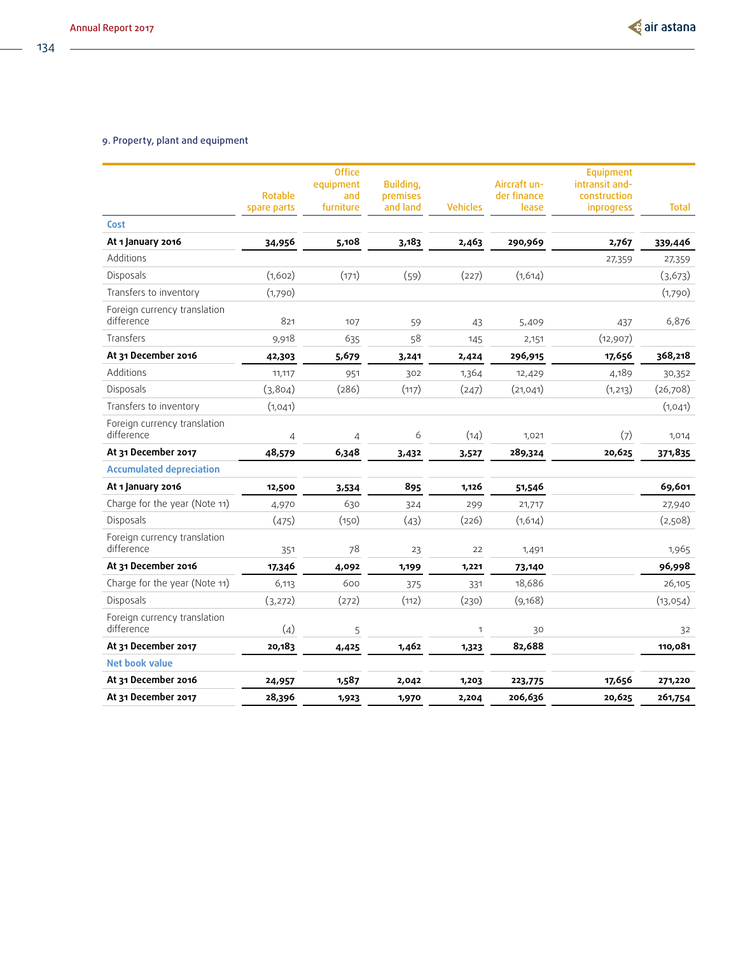# 9. Property, plant and equipment

|                                            |                | <b>Office</b>    |                       |                 |                             | <b>Equipment</b>               |              |
|--------------------------------------------|----------------|------------------|-----------------------|-----------------|-----------------------------|--------------------------------|--------------|
|                                            | <b>Rotable</b> | equipment<br>and | Building,<br>premises |                 | Aircraft un-<br>der finance | intransit and-<br>construction |              |
|                                            | spare parts    | furniture        | and land              | <b>Vehicles</b> | lease                       | <b>inprogress</b>              | <b>Total</b> |
| Cost                                       |                |                  |                       |                 |                             |                                |              |
| At 1 January 2016                          | 34,956         | 5,108            | 3,183                 | 2,463           | 290,969                     | 2,767                          | 339,446      |
| Additions                                  |                |                  |                       |                 |                             | 27,359                         | 27,359       |
| Disposals                                  | (1,602)        | (171)            | (59)                  | (227)           | (1,614)                     |                                | (3,673)      |
| Transfers to inventory                     | (1,790)        |                  |                       |                 |                             |                                | (1,790)      |
| Foreign currency translation<br>difference | 821            | 107              | 59                    | 43              | 5,409                       | 437                            | 6,876        |
| Transfers                                  | 9,918          | 635              | 58                    | 145             | 2,151                       | (12,907)                       |              |
| At 31 December 2016                        | 42,303         | 5,679            | 3,241                 | 2,424           | 296,915                     | 17,656                         | 368,218      |
| Additions                                  | 11,117         | 951              | 302                   | 1,364           | 12,429                      | 4,189                          | 30,352       |
| <b>Disposals</b>                           | (3,804)        | (286)            | (117)                 | (247)           | (21,041)                    | (1,213)                        | (26,708)     |
| Transfers to inventory                     | (1,041)        |                  |                       |                 |                             |                                | (1,041)      |
| Foreign currency translation<br>difference | 4              | 4                | 6                     | (14)            | 1,021                       | (7)                            | 1,014        |
| At 31 December 2017                        | 48,579         | 6,348            | 3,432                 | 3,527           | 289,324                     | 20,625                         | 371,835      |
| <b>Accumulated depreciation</b>            |                |                  |                       |                 |                             |                                |              |
| At 1 January 2016                          | 12,500         | 3,534            | 895                   | 1,126           | 51,546                      |                                | 69,601       |
| Charge for the year (Note 11)              | 4,970          | 630              | 324                   | 299             | 21,717                      |                                | 27,940       |
| Disposals                                  | (475)          | (150)            | (43)                  | (226)           | (1,614)                     |                                | (2,508)      |
| Foreign currency translation<br>difference | 351            | 78               | 23                    | 22              | 1,491                       |                                | 1,965        |
| At 31 December 2016                        | 17,346         | 4,092            | 1,199                 | 1,221           | 73,140                      |                                | 96,998       |
| Charge for the year (Note 11)              | 6,113          | 600              | 375                   | 331             | 18,686                      |                                | 26,105       |
| Disposals                                  | (3,272)        | (272)            | (112)                 | (230)           | (9, 168)                    |                                | (13,054)     |
| Foreign currency translation<br>difference | (4)            | 5                |                       | 1               | 30                          |                                | 32           |
| At 31 December 2017                        | 20,183         | 4,425            | 1,462                 | 1,323           | 82,688                      |                                | 110,081      |
| <b>Net book value</b>                      |                |                  |                       |                 |                             |                                |              |
| At 31 December 2016                        | 24,957         | 1,587            | 2,042                 | 1,203           | 223,775                     | 17,656                         | 271,220      |
| At 31 December 2017                        | 28,396         | 1,923            | 1,970                 | 2,204           | 206,636                     | 20,625                         | 261,754      |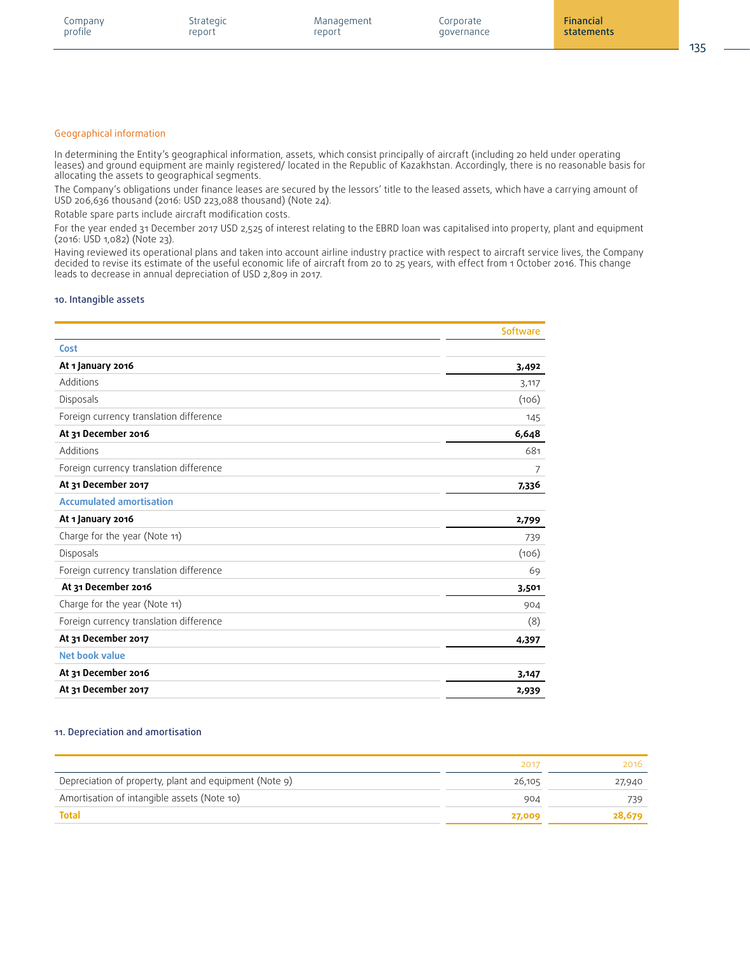[Management](#page--1-0) report

Corporate [governance](#page--1-0)

# Geographical information

In determining the Entity's geographical information, assets, which consist principally of aircraft (including 20 held under operating leases) and ground equipment are mainly registered/ located in the Republic of Kazakhstan. Accordingly, there is no reasonable basis for allocating the assets to geographical segments.

The Company's obligations under finance leases are secured by the lessors' title to the leased assets, which have a carrying amount of USD 206,636 thousand (2016: USD 223,088 thousand) (Note 24).

Rotable spare parts include aircraft modification costs.

For the year ended 31 December 2017 USD 2,525 of interest relating to the EBRD loan was capitalised into property, plant and equipment (2016: USD 1,082) (Note 23).

Having reviewed its operational plans and taken into account airline industry practice with respect to aircraft service lives, the Company decided to revise its estimate of the useful economic life of aircraft from 20 to 25 years, with effect from 1 October 2016. This change leads to decrease in annual depreciation of USD 2,809 in 2017.

### 10. Intangible assets

|                                         | <b>Software</b> |
|-----------------------------------------|-----------------|
| Cost                                    |                 |
| At 1 January 2016                       | 3,492           |
| Additions                               | 3,117           |
| Disposals                               | (106)           |
| Foreign currency translation difference | 145             |
| At 31 December 2016                     | 6,648           |
| Additions                               | 681             |
| Foreign currency translation difference | 7               |
| At 31 December 2017                     | 7,336           |
| <b>Accumulated amortisation</b>         |                 |
| At 1 January 2016                       | 2,799           |
| Charge for the year (Note 11)           | 739             |
| Disposals                               | (106)           |
| Foreign currency translation difference | 69              |
| At 31 December 2016                     | 3,501           |
| Charge for the year (Note 11)           | 904             |
| Foreign currency translation difference | (8)             |
| At 31 December 2017                     | 4,397           |
| <b>Net book value</b>                   |                 |
| At 31 December 2016                     | 3,147           |
| At 31 December 2017                     | 2,939           |

# 11. Depreciation and amortisation

| 201    | 2016.  |
|--------|--------|
| 26,105 | 27,940 |
| 904    | 739    |
| 27,009 | 28,679 |
|        |        |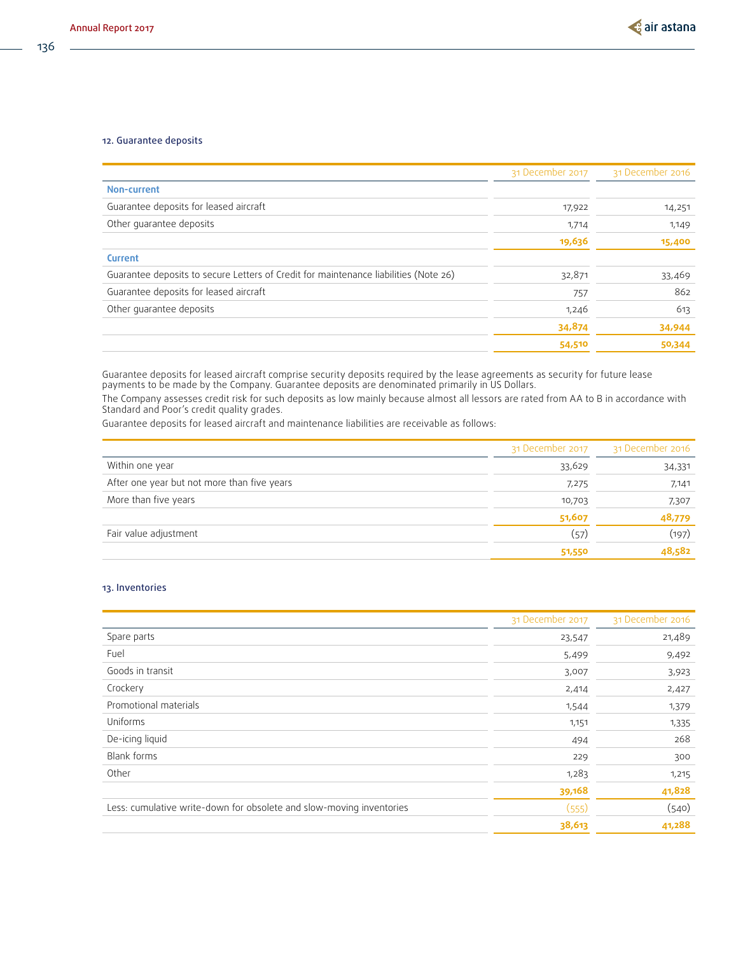# 12. Guarantee deposits

|                                                                                      | 31 December 2017 | 31 December 2016 |
|--------------------------------------------------------------------------------------|------------------|------------------|
| Non-current                                                                          |                  |                  |
| Guarantee deposits for leased aircraft                                               | 17,922           | 14,251           |
| Other quarantee deposits                                                             | 1,714            | 1,149            |
|                                                                                      | 19,636           | 15,400           |
| <b>Current</b>                                                                       |                  |                  |
| Guarantee deposits to secure Letters of Credit for maintenance liabilities (Note 26) | 32,871           | 33,469           |
| Guarantee deposits for leased aircraft                                               | 757              | 862              |
| Other quarantee deposits                                                             | 1,246            | 613              |
|                                                                                      | 34,874           | 34,944           |
|                                                                                      | 54,510           | 50,344           |

Guarantee deposits for leased aircraft comprise security deposits required by the lease agreements as security for future lease payments to be made by the Company. Guarantee deposits are denominated primarily in US Dollars.

The Company assesses credit risk for such deposits as low mainly because almost all lessors are rated from AA to B in accordance with Standard and Poor's credit quality grades.

Guarantee deposits for leased aircraft and maintenance liabilities are receivable as follows:

|                                             | 31 December 2017 | 31 December 2016 |
|---------------------------------------------|------------------|------------------|
| Within one year                             | 33,629           | 34,331           |
| After one year but not more than five years | 7,275            | 7,141            |
| More than five years                        | 10,703           | 7,307            |
|                                             | 51,607           | 48,779           |
| Fair value adjustment                       | (57)             | (197)            |
|                                             | 51,550           | 48,582           |

# 13. Inventories

|                                                                      | 31 December 2017 | 31 December 2016 |
|----------------------------------------------------------------------|------------------|------------------|
| Spare parts                                                          | 23,547           | 21,489           |
| Fuel                                                                 | 5,499            | 9,492            |
| Goods in transit                                                     | 3,007            | 3,923            |
| Crockery                                                             | 2,414            | 2,427            |
| Promotional materials                                                | 1,544            | 1,379            |
| Uniforms                                                             | 1,151            | 1,335            |
| De-icing liquid                                                      | 494              | 268              |
| Blank forms                                                          | 229              | 300              |
| Other                                                                | 1,283            | 1,215            |
|                                                                      | 39,168           | 41,828           |
| Less: cumulative write-down for obsolete and slow-moving inventories | (555)            | (540)            |
|                                                                      | 38,613           | 41,288           |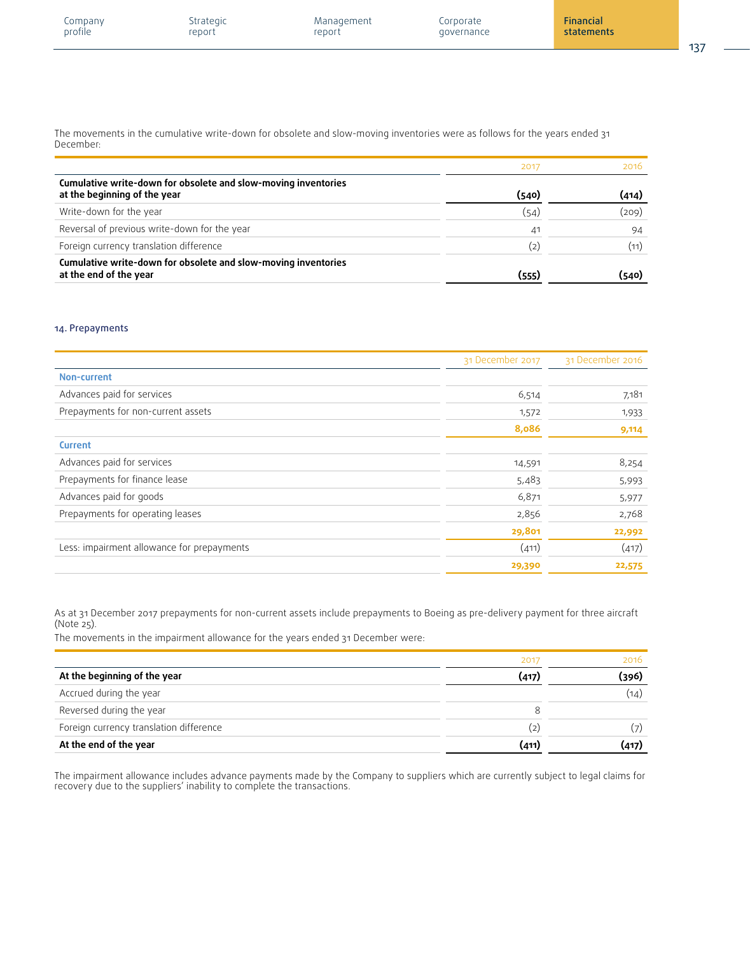| company | Strategic | Management | Corporate  | <b>Financial</b> |  |
|---------|-----------|------------|------------|------------------|--|
| profile | report    | report     | qovernance | statements       |  |

137

The movements in the cumulative write-down for obsolete and slow-moving inventories were as follows for the years ended 31 December:

|                                                                                                | 2017        | 2016  |
|------------------------------------------------------------------------------------------------|-------------|-------|
| Cumulative write-down for obsolete and slow-moving inventories<br>at the beginning of the year | (540)       | (414) |
| Write-down for the year                                                                        | (54)        | (209) |
| Reversal of previous write-down for the year                                                   | $4^{\circ}$ | 94    |
| Foreign currency translation difference                                                        | (2)         | (11)  |
| Cumulative write-down for obsolete and slow-moving inventories<br>at the end of the year       | (555)       | (540) |

# 14. Prepayments

|                                            | 31 December 2017 | 31 December 2016 |
|--------------------------------------------|------------------|------------------|
| Non-current                                |                  |                  |
| Advances paid for services                 | 6,514            | 7,181            |
| Prepayments for non-current assets         | 1,572            | 1,933            |
|                                            | 8,086            | 9,114            |
| <b>Current</b>                             |                  |                  |
| Advances paid for services                 | 14,591           | 8,254            |
| Prepayments for finance lease              | 5,483            | 5,993            |
| Advances paid for goods                    | 6,871            | 5,977            |
| Prepayments for operating leases           | 2,856            | 2,768            |
|                                            | 29,801           | 22,992           |
| Less: impairment allowance for prepayments | (411)            | (417)            |
|                                            | 29,390           | 22,575           |

As at 31 December 2017 prepayments for non-current assets include prepayments to Boeing as pre-delivery payment for three aircraft (Note 25).

The movements in the impairment allowance for the years ended 31 December were:

|                                         | 2017  | 2016  |
|-----------------------------------------|-------|-------|
| At the beginning of the year            | (417) | (396) |
| Accrued during the year                 |       | (14)  |
| Reversed during the year                | 8     |       |
| Foreign currency translation difference | (2)   |       |
| At the end of the year                  | (411) | (417) |

The impairment allowance includes advance payments made by the Company to suppliers which are currently subject to legal claims for recovery due to the suppliers' inability to complete the transactions.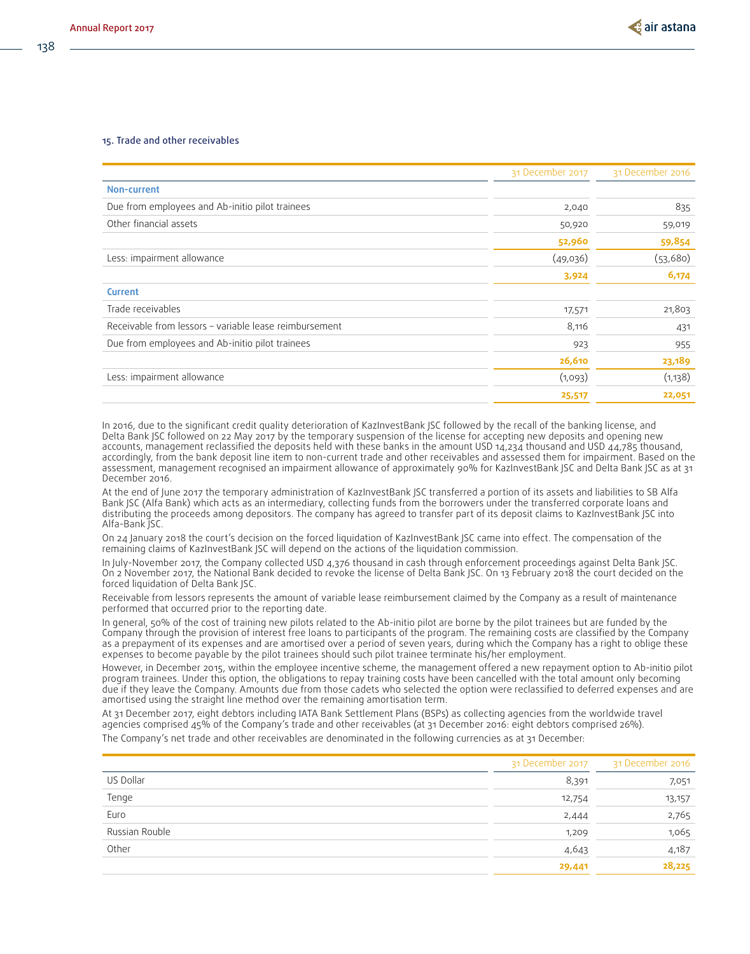## 15. Trade and other receivables

|                                                        | 31 December 2017 | 31 December 2016 |
|--------------------------------------------------------|------------------|------------------|
| Non-current                                            |                  |                  |
| Due from employees and Ab-initio pilot trainees        | 2,040            | 835              |
| Other financial assets                                 | 50,920           | 59,019           |
|                                                        | 52,960           | 59,854           |
| Less: impairment allowance                             | (49,036)         | (53,680)         |
|                                                        | 3,924            | 6,174            |
| <b>Current</b>                                         |                  |                  |
| Trade receivables                                      | 17,571           | 21,803           |
| Receivable from lessors - variable lease reimbursement | 8,116            | 431              |
| Due from employees and Ab-initio pilot trainees        | 923              | 955              |
|                                                        | 26,610           | 23,189           |
| Less: impairment allowance                             | (1,093)          | (1, 138)         |
|                                                        | 25,517           | 22,051           |

In 2016, due to the significant credit quality deterioration of KazInvestBank JSC followed by the recall of the banking license, and Delta Bank JSC followed on 22 May 2017 by the temporary suspension of the license for accepting new deposits and opening new accounts, management reclassified the deposits held with these banks in the amount USD 14,234 thousand and USD  $44.785$  thousand, accordingly, from the bank deposit line item to non-current trade and other receivables and assessed them for impairment. Based on the assessment, management recognised an impairment allowance of approximately 90% for KazInvestBank JSC and Delta Bank JSC as at 31 December 2016.

At the end of June 2017 the temporary administration of KazInvestBank JSC transferred a portion of its assets and liabilities to SB Alfa Bank JSC (Alfa Bank) which acts as an intermediary, collecting funds from the borrowers under the transferred corporate loans and distributing the proceeds among depositors. The company has agreed to transfer part of its deposit claims to KazInvestBank JSC into Alfa-Bank JSC.

On 24 January 2018 the court's decision on the forced liquidation of KazInvestBank JSC came into effect. The compensation of the remaining claims of KazInvestBank JSC will depend on the actions of the liquidation commission.

In July-November 2017, the Company collected USD 4,376 thousand in cash through enforcement proceedings against Delta Bank JSC. On 2 November 2017, the National Bank decided to revoke the license of Delta Bank JSC. On 13 February 2018 the court decided on the forced liquidation of Delta Bank JSC.

Receivable from lessors represents the amount of variable lease reimbursement claimed by the Company as a result of maintenance performed that occurred prior to the reporting date.

In general, 50% of the cost of training new pilots related to the Ab-initio pilot are borne by the pilot trainees but are funded by the Company through the provision of interest free loans to participants of the program. The remaining costs are classified by the Company as a prepayment of its expenses and are amortised over a period of seven years, during which the Company has a right to oblige these expenses to become payable by the pilot trainees should such pilot trainee terminate his/her employment.

However, in December 2015, within the employee incentive scheme, the management offered a new repayment option to Ab-initio pilot program trainees. Under this option, the obligations to repay training costs have been cancelled with the total amount only becoming due if they leave the Company. Amounts due from those cadets who selected the option were reclassified to deferred expenses and are amortised using the straight line method over the remaining amortisation term.

At 31 December 2017, eight debtors including IATA Bank Settlement Plans (BSPs) as collecting agencies from the worldwide travel agencies comprised 45% of the Company's trade and other receivables (at 31 December 2016: eight debtors comprised 26%).

The Company's net trade and other receivables are denominated in the following currencies as at 31 December:

|                | 31 December 2017 | 31 December 2016 |
|----------------|------------------|------------------|
| US Dollar      | 8,391            | 7,051            |
| Tenge          | 12,754           | 13,157           |
| Euro           | 2,444            | 2,765            |
| Russian Rouble | 1,209            | 1,065            |
| Other          | 4,643            | 4,187            |
|                | 29,441           | 28,225           |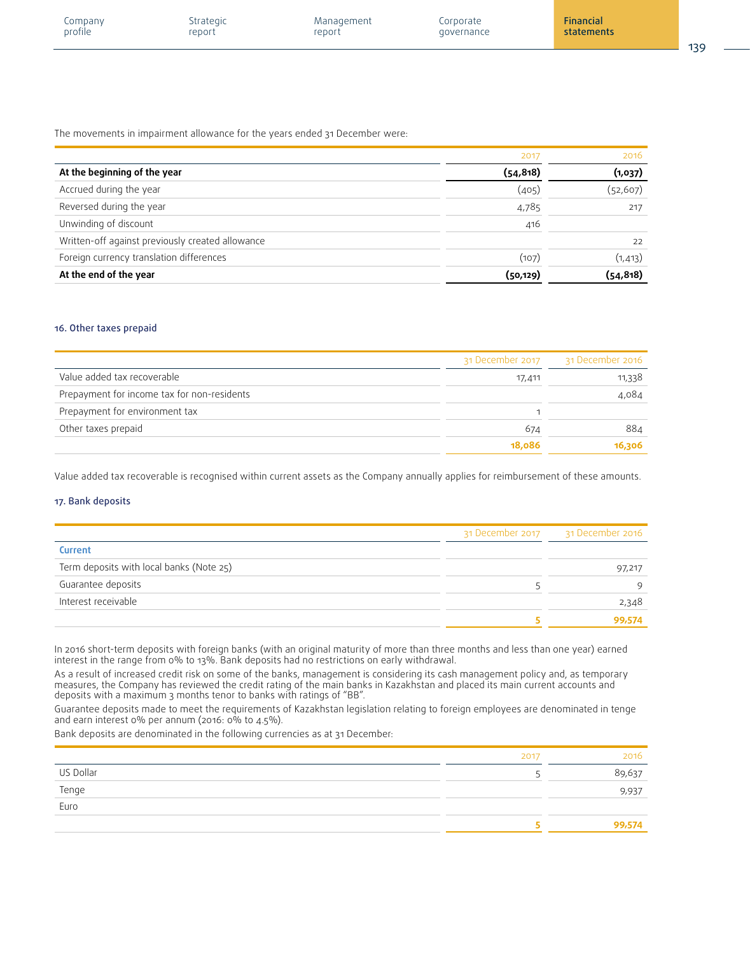| Company | Strategic | Management | Corporate  | Financial  |
|---------|-----------|------------|------------|------------|
| profile | report    | report     | governance | statements |

139

The movements in impairment allowance for the years ended 31 December were:

|                                                  | 2017      | 2016      |
|--------------------------------------------------|-----------|-----------|
| At the beginning of the year                     | (54, 818) | (1, 037)  |
| Accrued during the year                          | (405)     | (52, 607) |
| Reversed during the year                         | 4,785     | 217       |
| Unwinding of discount                            | 416       |           |
| Written-off against previously created allowance |           | 22        |
| Foreign currency translation differences         | (107)     | (1, 413)  |
| At the end of the year                           | (50, 129) | (54,818)  |

# 16. Other taxes prepaid

|                                             |        | 31 December 2017 31 December 2016 |
|---------------------------------------------|--------|-----------------------------------|
| Value added tax recoverable                 | 17,411 | 11,338                            |
| Prepayment for income tax for non-residents |        | 4,084                             |
| Prepayment for environment tax              |        |                                   |
| Other taxes prepaid                         | 674    | 884                               |
|                                             | 18,086 | 16,306                            |

Value added tax recoverable is recognised within current assets as the Company annually applies for reimbursement of these amounts.

# 17. Bank deposits

|                                          | 31 December 2017 31 December 2016 |
|------------------------------------------|-----------------------------------|
| <b>Current</b>                           |                                   |
| Term deposits with local banks (Note 25) | 97,217                            |
| Guarantee deposits                       |                                   |
| Interest receivable                      | 2,348                             |
|                                          | 99,574                            |

In 2016 short-term deposits with foreign banks (with an original maturity of more than three months and less than one year) earned interest in the range from 0% to 13%. Bank deposits had no restrictions on early withdrawal.

As a result of increased credit risk on some of the banks, management is considering its cash management policy and, as temporary measures, the Company has reviewed the credit rating of the main banks in Kazakhstan and placed its main current accounts and deposits with a maximum 3 months tenor to banks with ratings of "BB".

Guarantee deposits made to meet the requirements of Kazakhstan legislation relating to foreign employees are denominated in tenge and earn interest 0% per annum (2016: 0% to 4.5%).

Bank deposits are denominated in the following currencies as at 31 December:

|               | 2017 | 2016   |
|---------------|------|--------|
| US Dollar     |      | 89,637 |
| Tenge<br>Euro |      | 9,937  |
|               |      |        |
|               |      | 99,574 |
|               |      |        |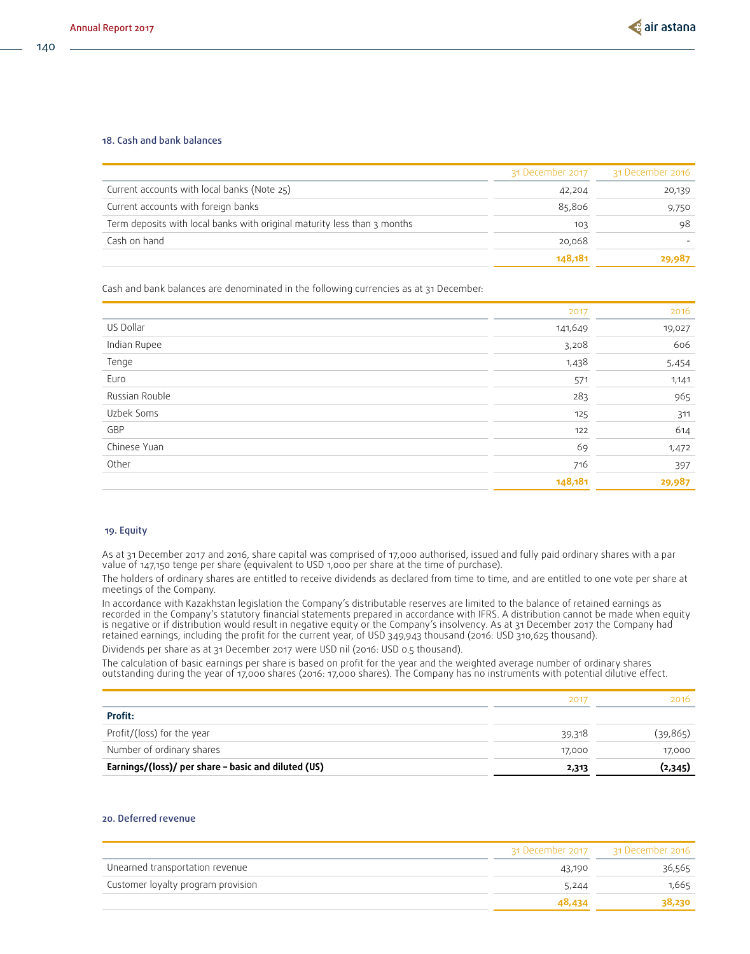# 18. Cash and bank balances

|                                                                          | 31 December 2017 | 31 December 2016 |
|--------------------------------------------------------------------------|------------------|------------------|
| Current accounts with local banks (Note 25)                              | 42,204           | 20,139           |
| Current accounts with foreign banks                                      | 85,806           | 9,750            |
| Term deposits with local banks with original maturity less than 3 months | 103              | 98               |
| Cash on hand                                                             | 20,068           |                  |
|                                                                          | 148,181          | 29,987           |

Cash and bank balances are denominated in the following currencies as at 31 December:

|                | 2017    | 2016   |
|----------------|---------|--------|
| US Dollar      | 141,649 | 19,027 |
| Indian Rupee   | 3,208   | 606    |
| Tenge          | 1,438   | 5,454  |
| Euro           | 571     | 1,141  |
| Russian Rouble | 283     | 965    |
| Uzbek Soms     | 125     | 311    |
| GBP            | 122     | 614    |
| Chinese Yuan   | 69      | 1,472  |
| Other          | 716     | 397    |
|                | 148,181 | 29,987 |

### 19. Equity

As at 31 December 2017 and 2016, share capital was comprised of 17,000 authorised, issued and fully paid ordinary shares with a par value of 147,150 tenge per share (equivalent to USD 1,000 per share at the time of purchase).

The holders of ordinary shares are entitled to receive dividends as declared from time to time, and are entitled to one vote per share at meetings of the Company.

In accordance with Kazakhstan legislation the Company's distributable reserves are limited to the balance of retained earnings as recorded in the Company's statutory financial statements prepared in accordance with IFRS. A distribution cannot be made when equity is negative or if distribution would result in negative equity or the Company's insolvency. As at 31 December 2017 the Company had retained earnings, including the profit for the current year, of USD 349,943 thousand (2016: USD 310,625 thousand).

Dividends per share as at 31 December 2017 were USD nil (2016: USD 0.5 thousand).

The calculation of basic earnings per share is based on profit for the year and the weighted average number of ordinary shares outstanding during the year of 17,000 shares (2016: 17,000 shares). The Company has no instruments with potential dilutive effect.

| Earnings/(loss)/ per share - basic and diluted (US) | 2,313  | (2,345)  |
|-----------------------------------------------------|--------|----------|
| Number of ordinary shares                           | 17,000 | 17,000   |
| Profit/(loss) for the year                          | 39,318 | (39,865) |
| Profit:                                             |        |          |
|                                                     | 201    | 2016     |

### 20. Deferred revenue

|                                    |        | 31 December 2017 31 December 2016 |
|------------------------------------|--------|-----------------------------------|
| Unearned transportation revenue    | 43,190 | 36,565                            |
| Customer loyalty program provision | 5,244  | 1,665                             |
|                                    | 48,434 | 38,230                            |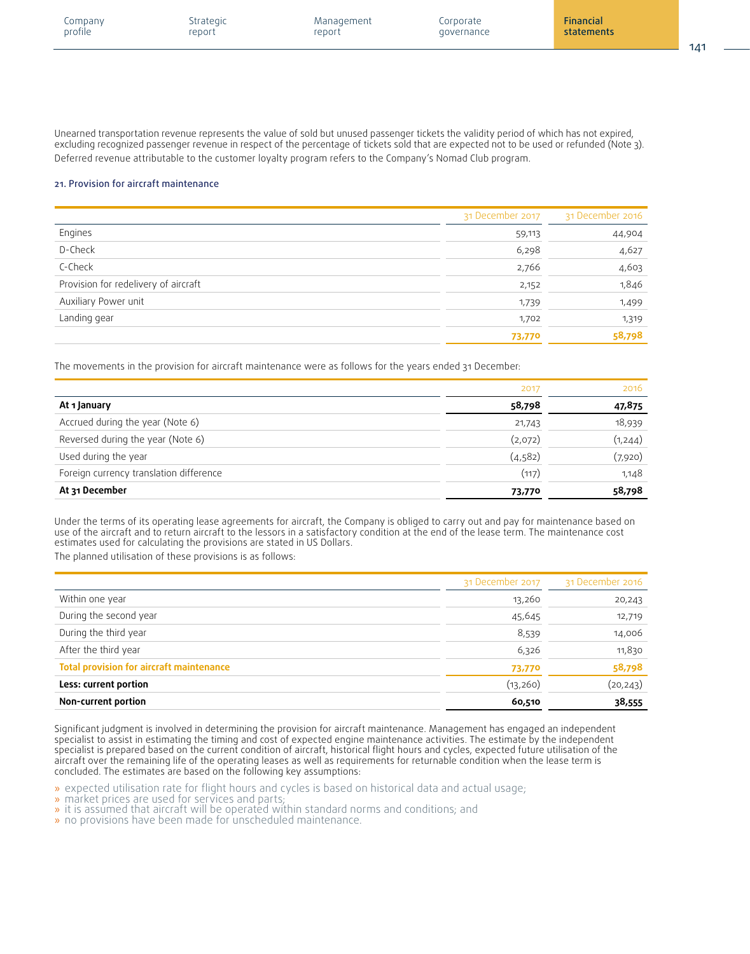Unearned transportation revenue represents the value of sold but unused passenger tickets the validity period of which has not expired, excluding recognized passenger revenue in respect of the percentage of tickets sold that are expected not to be used or refunded (Note 3). Deferred revenue attributable to the customer loyalty program refers to the Company's Nomad Club program.

# 21. Provision for aircraft maintenance

|                                      | 31 December 2017 | 31 December 2016 |
|--------------------------------------|------------------|------------------|
| Engines                              | 59,113           | 44,904           |
| D-Check                              | 6,298            | 4,627            |
| C-Check                              | 2,766            | 4,603            |
| Provision for redelivery of aircraft | 2,152            | 1,846            |
| Auxiliary Power unit                 | 1,739            | 1,499            |
| Landing gear                         | 1,702            | 1,319            |
|                                      | 73,770           | 58,798           |

The movements in the provision for aircraft maintenance were as follows for the years ended 31 December:

|                                         | 2017    | 2016     |
|-----------------------------------------|---------|----------|
| At 1 January                            | 58,798  | 47,875   |
| Accrued during the year (Note 6)        | 21,743  | 18,939   |
| Reversed during the year (Note 6)       | (2,072) | (1, 244) |
| Used during the year                    | (4,582) | (7,920)  |
| Foreign currency translation difference | (117)   | 1,148    |
| At 31 December                          | 73,770  | 58,798   |

Under the terms of its operating lease agreements for aircraft, the Company is obliged to carry out and pay for maintenance based on use of the aircraft and to return aircraft to the lessors in a satisfactory condition at the end of the lease term. The maintenance cost estimates used for calculating the provisions are stated in US Dollars.

The planned utilisation of these provisions is as follows:

|                                                 | 31 December 2017 | 31 December 2016 |
|-------------------------------------------------|------------------|------------------|
| Within one year                                 | 13,260           | 20,243           |
| During the second year                          | 45,645           | 12,719           |
| During the third year                           | 8,539            | 14,006           |
| After the third year                            | 6,326            | 11,830           |
| <b>Total provision for aircraft maintenance</b> | 73,770           | 58,798           |
| Less: current portion                           | (13, 260)        | (20, 243)        |
| Non-current portion                             | 60,510           | 38,555           |

Significant judgment is involved in determining the provision for aircraft maintenance. Management has engaged an independent specialist to assist in estimating the timing and cost of expected engine maintenance activities. The estimate by the independent specialist is prepared based on the current condition of aircraft, historical flight hours and cycles, expected future utilisation of the aircraft over the remaining life of the operating leases as well as requirements for returnable condition when the lease term is concluded. The estimates are based on the following key assumptions:

» expected utilisation rate for flight hours and cycles is based on historical data and actual usage;

» market prices are used for services and parts;

- » it is assumed that aircraft will be operated within standard norms and conditions; and
- » no provisions have been made for unscheduled maintenance.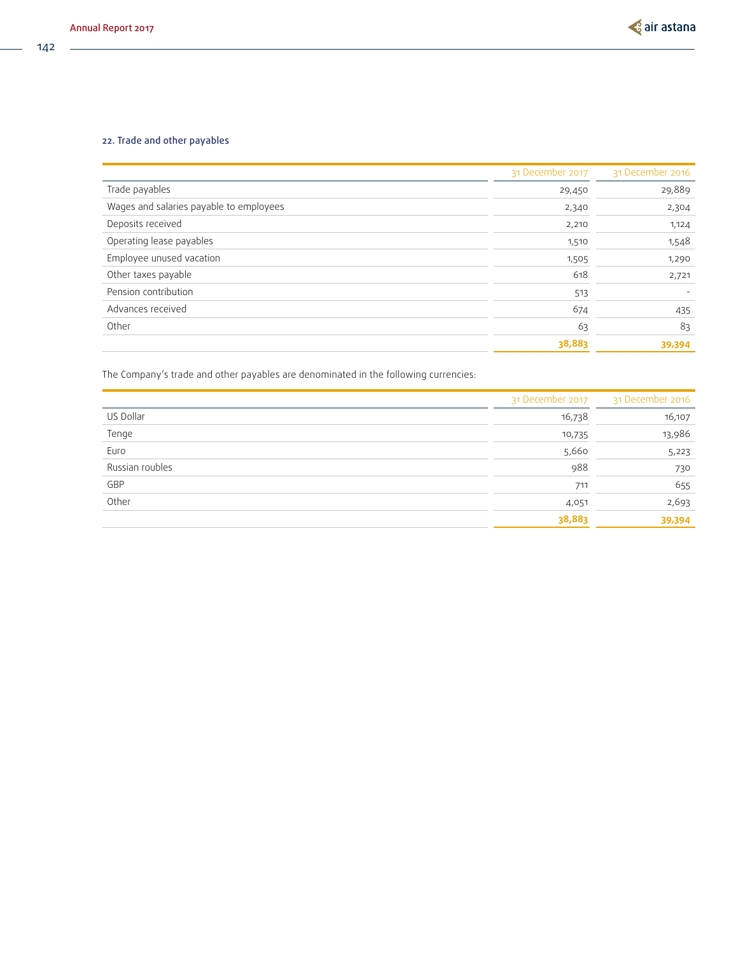# 22. Trade and other payables

|                                         | 31 December 2017 | 31 December 2016 |
|-----------------------------------------|------------------|------------------|
| Trade payables                          | 29,450           | 29,889           |
| Wages and salaries payable to employees | 2,340            | 2,304            |
| Deposits received                       | 2,210            | 1,124            |
| Operating lease payables                | 1,510            | 1,548            |
| Employee unused vacation                | 1,505            | 1,290            |
| Other taxes payable                     | 618              | 2,721            |
| Pension contribution                    | 513              |                  |
| Advances received                       | 674              | 435              |
| Other                                   | 63               | 83               |
|                                         | 38,883           | 39,394           |

The Company's trade and other payables are denominated in the following currencies:

|                 |        | 31 December 2017 31 December 2016 |
|-----------------|--------|-----------------------------------|
| US Dollar       | 16,738 | 16,107                            |
| Tenge           | 10,735 | 13,986                            |
| Euro            | 5,660  | 5,223                             |
| Russian roubles | 988    | 730                               |
| GBP             | 711    | 655                               |
| Other           | 4,051  | 2,693                             |
|                 | 38,883 | 39,394                            |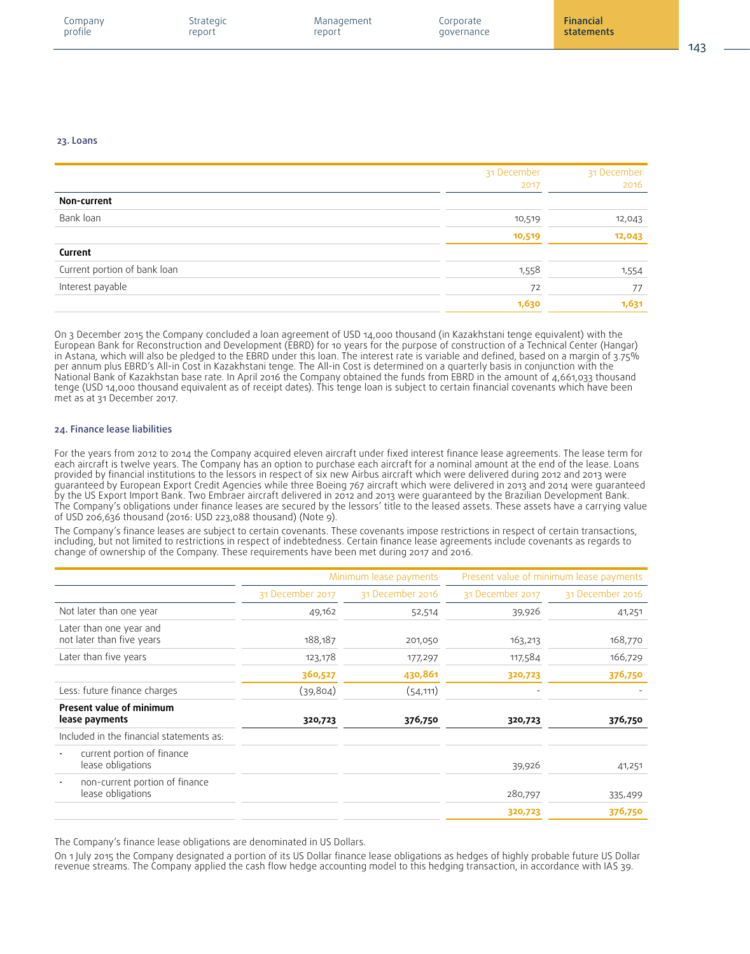| Company | Strategic | Management | Corporate  | Financial  |
|---------|-----------|------------|------------|------------|
| profile | report    | report     | qovernance | statements |
|         |           |            |            |            |

143

### 23. Loans

|                              | 31 December<br>2017 | 31 December<br>2016 |
|------------------------------|---------------------|---------------------|
| Non-current                  |                     |                     |
| Bank loan                    | 10,519              | 12,043              |
|                              | 10,519              | 12,043              |
| Current                      |                     |                     |
| Current portion of bank loan | 1,558               | 1,554               |
| Interest payable             | 72                  | 77                  |
|                              | 1,630               | 1,631               |

On 3 December 2015 the Company concluded a loan agreement of USD 14,000 thousand (in Kazakhstani tenge equivalent) with the European Bank for Reconstruction and Development (EBRD) for 10 years for the purpose of construction of a Technical Center (Hangar) in Astana, which will also be pledged to the EBRD under this loan. The interest rate is variable and defined, based on a margin of 3.75% per annum plus EBRD's All-in Cost in Kazakhstani tenge. The All-in Cost is determined on a quarterly basis in conjunction with the National Bank of Kazakhstan base rate. In April 2016 the Company obtained the funds from EBRD in the amount of 4,661,033 thousand tenge (USD 14,000 thousand equivalent as of receipt dates). This tenge loan is subject to certain financial covenants which have been met as at 31 December 2017.

### 24. Finance lease liabilities

For the years from 2012 to 2014 the Company acquired eleven aircraft under fixed interest finance lease agreements. The lease term for each aircraft is twelve years. The Company has an option to purchase each aircraft for a nominal amount at the end of the lease. Loans provided by financial institutions to the lessors in respect of six new Airbus aircraft which were delivered during 2012 and 2013 were guaranteed by European Export Credit Agencies while three Boeing 767 aircraft which were delivered in 2013 and 2014 were guaranteed by the US Export Import Bank. Two Embraer aircraft delivered in 2012 and 2013 were guaranteed by the Brazilian Development Bank. The Company's obligations under finance leases are secured by the lessors' title to the leased assets. These assets have a carrying value of USD 206,636 thousand (2016: USD 223,088 thousand) (Note 9).

The Company's finance leases are subject to certain covenants. These covenants impose restrictions in respect of certain transactions, including, but not limited to restrictions in respect of indebtedness. Certain finance lease agreements include covenants as regards to change of ownership of the Company. These requirements have been met during 2017 and 2016.

|                                                                  | Minimum lease payments |                  |                  | Present value of minimum lease payments |
|------------------------------------------------------------------|------------------------|------------------|------------------|-----------------------------------------|
|                                                                  | 31 December 2017       | 31 December 2016 | 31 December 2017 | 31 December 2016                        |
| Not later than one year                                          | 49,162                 | 52,514           | 39,926           | 41,251                                  |
| Later than one year and<br>not later than five years             | 188,187                | 201,050          | 163,213          | 168,770                                 |
| Later than five years                                            | 123,178                | 177,297          | 117,584          | 166,729                                 |
|                                                                  | 360,527                | 430,861          | 320,723          | 376,750                                 |
| Less: future finance charges                                     | (39,804)               | (54, 111)        |                  |                                         |
| Present value of minimum<br>lease payments                       | 320,723                | 376,750          | 320,723          | 376,750                                 |
| Included in the financial statements as:                         |                        |                  |                  |                                         |
| current portion of finance<br>lease obligations                  |                        |                  | 39,926           | 41,251                                  |
| non-current portion of finance<br>$\bullet$<br>lease obligations |                        |                  | 280,797          | 335,499                                 |
|                                                                  |                        |                  | 320,723          | 376,750                                 |

The Company's finance lease obligations are denominated in US Dollars.

On 1 July 2015 the Company designated a portion of its US Dollar finance lease obligations as hedges of highly probable future US Dollar revenue streams. The Company applied the cash flow hedge accounting model to this hedging transaction, in accordance with IAS 39.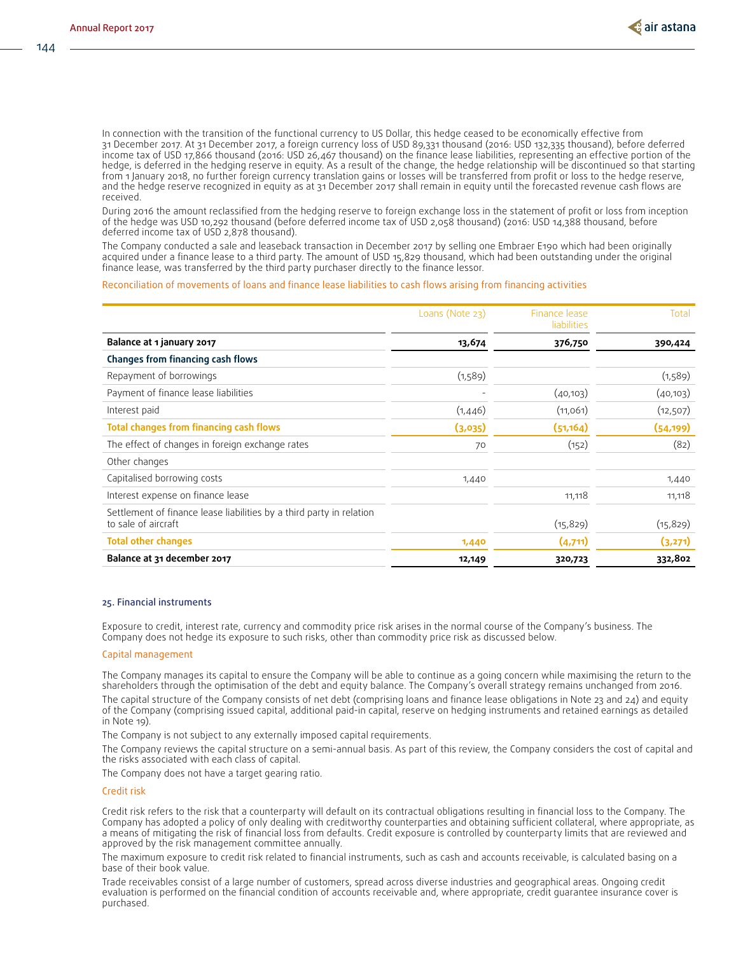In connection with the transition of the functional currency to US Dollar, this hedge ceased to be economically effective from 31 December 2017. At 31 December 2017, a foreign currency loss of USD 89,331 thousand (2016: USD 132,335 thousand), before deferred income tax of USD 17,866 thousand (2016: USD 26,467 thousand) on the finance lease liabilities, representing an effective portion of the hedge, is deferred in the hedging reserve in equity. As a result of the change, the hedge relationship will be discontinued so that starting from 1 January 2018, no further foreign currency translation gains or losses will be transferred from profit or loss to the hedge reserve, and the hedge reserve recognized in equity as at 31 December 2017 shall remain in equity until the forecasted revenue cash flows are received.

During 2016 the amount reclassified from the hedging reserve to foreign exchange loss in the statement of profit or loss from inception of the hedge was USD 10,292 thousand (before deferred income tax of USD 2,058 thousand) (2016: USD 14,388 thousand, before deferred income tax of USD 2,878 thousand).

The Company conducted a sale and leaseback transaction in December 2017 by selling one Embraer E190 which had been originally acquired under a finance lease to a third party. The amount of USD 15,829 thousand, which had been outstanding under the original finance lease, was transferred by the third party purchaser directly to the finance lessor.

### Reconciliation of movements of loans and finance lease liabilities to cash flows arising from financing activities

|                                                                                             | Loans (Note 23) | Finance lease<br><b>liabilities</b> | Total     |
|---------------------------------------------------------------------------------------------|-----------------|-------------------------------------|-----------|
| Balance at 1 january 2017                                                                   | 13,674          | 376,750                             | 390,424   |
| Changes from financing cash flows                                                           |                 |                                     |           |
| Repayment of borrowings                                                                     | (1,589)         |                                     | (1,589)   |
| Payment of finance lease liabilities                                                        |                 | (40,103)                            | (40, 103) |
| Interest paid                                                                               | (1,446)         | (11,061)                            | (12,507)  |
| Total changes from financing cash flows                                                     | (3,035)         | (51, 164)                           | (54, 199) |
| The effect of changes in foreign exchange rates                                             | 70              | (152)                               | (82)      |
| Other changes                                                                               |                 |                                     |           |
| Capitalised borrowing costs                                                                 | 1,440           |                                     | 1,440     |
| Interest expense on finance lease                                                           |                 | 11,118                              | 11,118    |
| Settlement of finance lease liabilities by a third party in relation<br>to sale of aircraft |                 | (15, 829)                           | (15, 829) |
| <b>Total other changes</b>                                                                  | 1,440           | (4,711)                             | (3,271)   |
| Balance at 31 december 2017                                                                 | 12,149          | 320,723                             | 332,802   |

### 25. Financial instruments

Exposure to credit, interest rate, currency and commodity price risk arises in the normal course of the Company's business. The Company does not hedge its exposure to such risks, other than commodity price risk as discussed below.

### Capital management

The Company manages its capital to ensure the Company will be able to continue as a going concern while maximising the return to the shareholders through the optimisation of the debt and equity balance. The Company's overall strategy remains unchanged from 2016. The capital structure of the Company consists of net debt (comprising loans and finance lease obligations in Note 23 and 24) and equity of the Company (comprising issued capital, additional paid-in capital, reserve on hedging instruments and retained earnings as detailed in Note 19).

The Company is not subject to any externally imposed capital requirements.

The Company reviews the capital structure on a semi-annual basis. As part of this review, the Company considers the cost of capital and the risks associated with each class of capital.

The Company does not have a target gearing ratio.

### Credit risk

Credit risk refers to the risk that a counterparty will default on its contractual obligations resulting in financial loss to the Company. The Company has adopted a policy of only dealing with creditworthy counterparties and obtaining sufficient collateral, where appropriate, as a means of mitigating the risk of financial loss from defaults. Credit exposure is controlled by counterparty limits that are reviewed and approved by the risk management committee annually.

The maximum exposure to credit risk related to financial instruments, such as cash and accounts receivable, is calculated basing on a base of their book value.

Trade receivables consist of a large number of customers, spread across diverse industries and geographical areas. Ongoing credit evaluation is performed on the financial condition of accounts receivable and, where appropriate, credit guarantee insurance cover is purchased.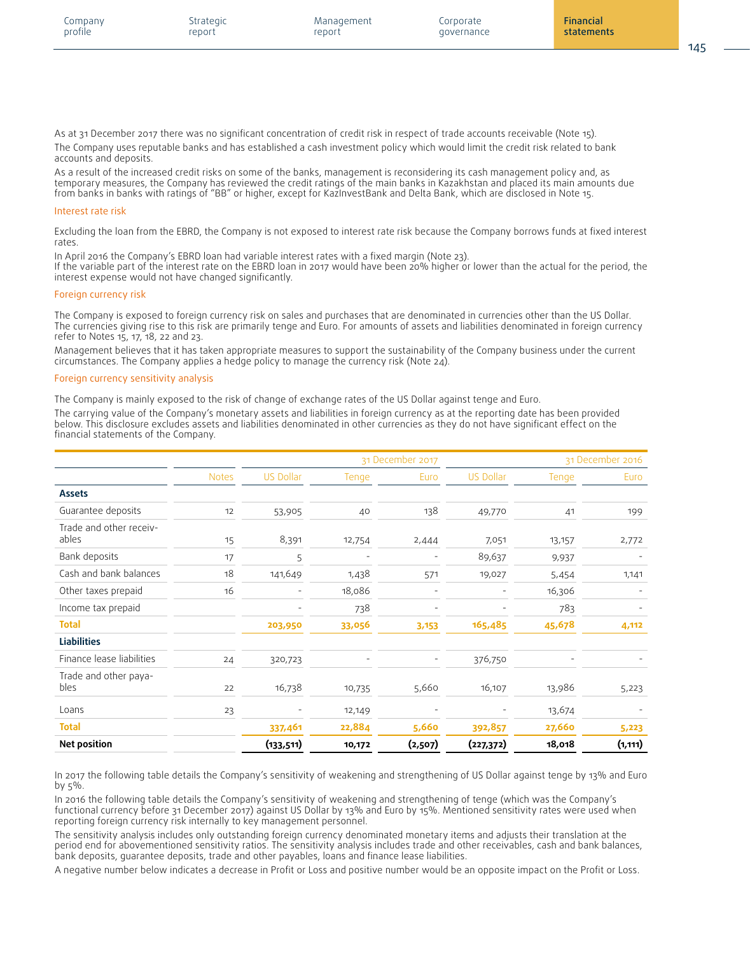Corporate [governance](#page--1-0)

As at 31 December 2017 there was no significant concentration of credit risk in respect of trade accounts receivable (Note 15).

The Company uses reputable banks and has established a cash investment policy which would limit the credit risk related to bank accounts and deposits.

As a result of the increased credit risks on some of the banks, management is reconsidering its cash management policy and, as temporary measures, the Company has reviewed the credit ratings of the main banks in Kazakhstan and placed its main amounts due from banks in banks with ratings of "BB" or higher, except for KazInvestBank and Delta Bank, which are disclosed in Note 15.

# Interest rate risk

Excluding the loan from the EBRD, the Company is not exposed to interest rate risk because the Company borrows funds at fixed interest rates.

In April 2016 the Company's EBRD loan had variable interest rates with a fixed margin (Note 23).

If the variable part of the interest rate on the EBRD loan in 2017 would have been 20% higher or lower than the actual for the period, the interest expense would not have changed significantly.

# Foreign currency risk

The Company is exposed to foreign currency risk on sales and purchases that are denominated in currencies other than the US Dollar. The currencies giving rise to this risk are primarily tenge and Euro. For amounts of assets and liabilities denominated in foreign currency refer to Notes 15, 17, 18, 22 and 23.

Management believes that it has taken appropriate measures to support the sustainability of the Company business under the current circumstances. The Company applies a hedge policy to manage the currency risk (Note 24).

### Foreign currency sensitivity analysis

The Company is mainly exposed to the risk of change of exchange rates of the US Dollar against tenge and Euro.

The carrying value of the Company's monetary assets and liabilities in foreign currency as at the reporting date has been provided below. This disclosure excludes assets and liabilities denominated in other currencies as they do not have significant effect on the financial statements of the Company.

|                                  |              |                  |        | 31 December 2017 |                  |        | 31 December 2016 |
|----------------------------------|--------------|------------------|--------|------------------|------------------|--------|------------------|
|                                  | <b>Notes</b> | <b>US Dollar</b> | Tenge  | Euro             | <b>US Dollar</b> | Tenge  | Euro             |
| <b>Assets</b>                    |              |                  |        |                  |                  |        |                  |
| Guarantee deposits               | 12           | 53,905           | 40     | 138              | 49,770           | 41     | 199              |
| Trade and other receiv-<br>ables | 15           | 8,391            | 12,754 | 2,444            | 7,051            | 13,157 | 2,772            |
| Bank deposits                    | 17           | 5                |        | -                | 89,637           | 9,937  |                  |
| Cash and bank balances           | 18           | 141,649          | 1,438  | 571              | 19,027           | 5,454  | 1,141            |
| Other taxes prepaid              | 16           |                  | 18,086 |                  |                  | 16,306 |                  |
| Income tax prepaid               |              |                  | 738    |                  |                  | 783    |                  |
| <b>Total</b>                     |              | 203,950          | 33,056 | 3,153            | 165,485          | 45,678 | 4,112            |
| <b>Liabilities</b>               |              |                  |        |                  |                  |        |                  |
| Finance lease liabilities        | 24           | 320,723          |        |                  | 376,750          |        |                  |
| Trade and other paya-<br>bles    | 22           | 16,738           | 10,735 | 5,660            | 16,107           | 13,986 | 5,223            |
| Loans                            | 23           |                  | 12,149 |                  |                  | 13,674 |                  |
| <b>Total</b>                     |              | 337,461          | 22,884 | 5,660            | 392,857          | 27,660 | 5,223            |
| <b>Net position</b>              |              | (133, 511)       | 10,172 | (2,507)          | (227, 372)       | 18,018 | (1, 111)         |

In 2017 the following table details the Company's sensitivity of weakening and strengthening of US Dollar against tenge by 13% and Euro by 5%.

In 2016 the following table details the Company's sensitivity of weakening and strengthening of tenge (which was the Company's functional currency before 31 December 2017) against US Dollar by 13% and Euro by 15%. Mentioned sensitivity rates were used when reporting foreign currency risk internally to key management personnel.

The sensitivity analysis includes only outstanding foreign currency denominated monetary items and adjusts their translation at the period end for abovementioned sensitivity ratios. The sensitivity analysis includes trade and other receivables, cash and bank balances, bank deposits, guarantee deposits, trade and other payables, loans and finance lease liabilities.

A negative number below indicates a decrease in Profit or Loss and positive number would be an opposite impact on the Profit or Loss.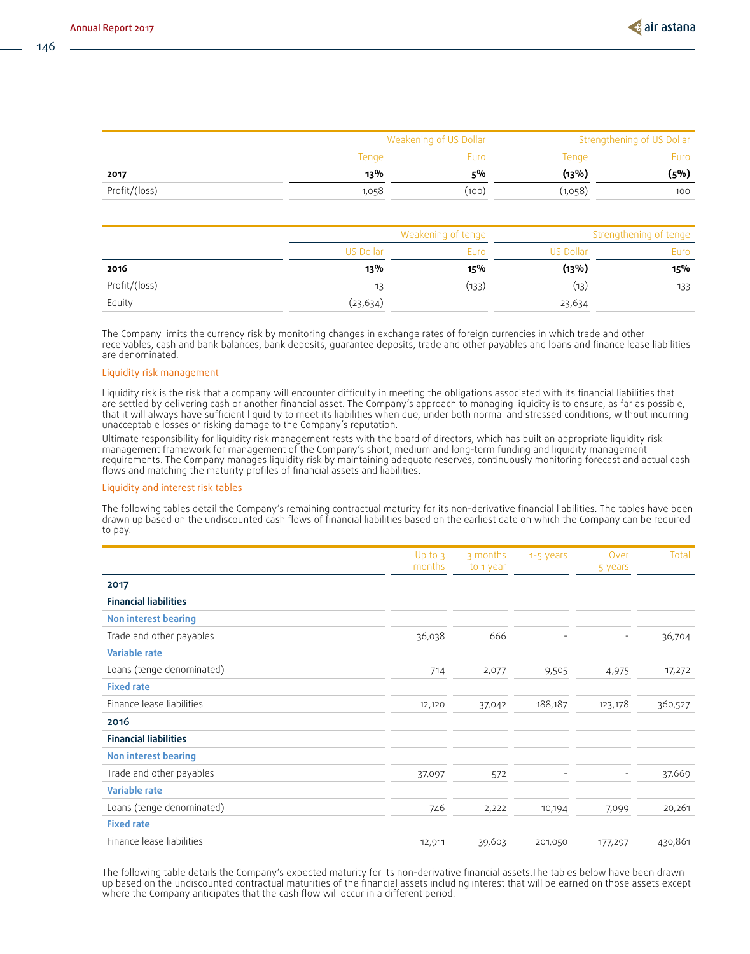|               |       | Weakening of US Dollar |          | Strengthening of US Dollar |
|---------------|-------|------------------------|----------|----------------------------|
|               | Tenge | Euro                   | Tenge    | Euro                       |
| 2017          | 13%   | 5%                     | $(13\%)$ | (5%)                       |
| Profit/(loss) | 1,058 | (100)                  | (1,058)  | 100                        |

|               |           | Weakening of tenge |                  | Strengthening of tenge |
|---------------|-----------|--------------------|------------------|------------------------|
|               | US Dollar | Euro               | <b>US Dollar</b> | Euro                   |
| 2016          | 13%       | 15%                | $(13\%)$         | 15%                    |
| Profit/(loss) |           | (133)              | (13)             | 133                    |
| Equity        | (23, 634) |                    | 23,634           |                        |

The Company limits the currency risk by monitoring changes in exchange rates of foreign currencies in which trade and other receivables, cash and bank balances, bank deposits, guarantee deposits, trade and other payables and loans and finance lease liabilities are denominated.

### Liquidity risk management

Liquidity risk is the risk that a company will encounter difficulty in meeting the obligations associated with its financial liabilities that are settled by delivering cash or another financial asset. The Company's approach to managing liquidity is to ensure, as far as possible, that it will always have sufficient liquidity to meet its liabilities when due, under both normal and stressed conditions, without incurring unacceptable losses or risking damage to the Company's reputation.

Ultimate responsibility for liquidity risk management rests with the board of directors, which has built an appropriate liquidity risk management framework for management of the Company's short, medium and long-term funding and liquidity management requirements. The Company manages liquidity risk by maintaining adequate reserves, continuously monitoring forecast and actual cash flows and matching the maturity profiles of financial assets and liabilities.

### Liquidity and interest risk tables

The following tables detail the Company's remaining contractual maturity for its non-derivative financial liabilities. The tables have been drawn up based on the undiscounted cash flows of financial liabilities based on the earliest date on which the Company can be required to pay.

|                              | Up to $3$<br>months | 3 months<br>to 1 year | 1-5 years | Over<br>5 years | Total   |
|------------------------------|---------------------|-----------------------|-----------|-----------------|---------|
| 2017                         |                     |                       |           |                 |         |
| <b>Financial liabilities</b> |                     |                       |           |                 |         |
| <b>Non interest bearing</b>  |                     |                       |           |                 |         |
| Trade and other payables     | 36,038              | 666                   |           |                 | 36,704  |
| Variable rate                |                     |                       |           |                 |         |
| Loans (tenge denominated)    | 714                 | 2,077                 | 9,505     | 4,975           | 17,272  |
| <b>Fixed rate</b>            |                     |                       |           |                 |         |
| Finance lease liabilities    | 12,120              | 37,042                | 188,187   | 123,178         | 360,527 |
| 2016                         |                     |                       |           |                 |         |
| <b>Financial liabilities</b> |                     |                       |           |                 |         |
| <b>Non interest bearing</b>  |                     |                       |           |                 |         |
| Trade and other payables     | 37,097              | 572                   |           |                 | 37,669  |
| <b>Variable rate</b>         |                     |                       |           |                 |         |
| Loans (tenge denominated)    | 746                 | 2,222                 | 10,194    | 7,099           | 20,261  |
| <b>Fixed rate</b>            |                     |                       |           |                 |         |
| Finance lease liabilities    | 12,911              | 39,603                | 201,050   | 177,297         | 430,861 |

The following table details the Company's expected maturity for its non-derivative financial assets.The tables below have been drawn up based on the undiscounted contractual maturities of the financial assets including interest that will be earned on those assets except where the Company anticipates that the cash flow will occur in a different period.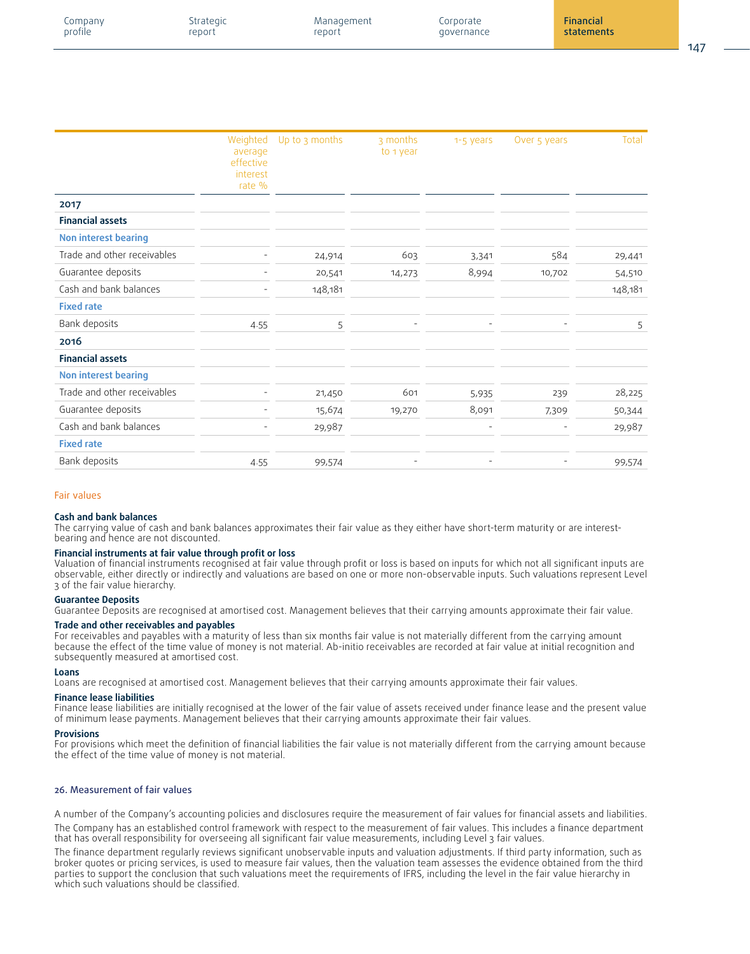| company | Strategic | Management | Corporate  |  |
|---------|-----------|------------|------------|--|
| profile | report    | report     | qovernance |  |

|                             | Weighted<br>average<br>effective<br>interest<br>rate % | Up to 3 months | 3 months<br>to 1 year | 1-5 years | Over 5 years | Total   |
|-----------------------------|--------------------------------------------------------|----------------|-----------------------|-----------|--------------|---------|
| 2017                        |                                                        |                |                       |           |              |         |
| <b>Financial assets</b>     |                                                        |                |                       |           |              |         |
| <b>Non interest bearing</b> |                                                        |                |                       |           |              |         |
| Trade and other receivables |                                                        | 24,914         | 603                   | 3,341     | 584          | 29,441  |
| Guarantee deposits          |                                                        | 20,541         | 14,273                | 8,994     | 10,702       | 54,510  |
| Cash and bank balances      |                                                        | 148,181        |                       |           |              | 148,181 |
| <b>Fixed rate</b>           |                                                        |                |                       |           |              |         |
| Bank deposits               | 4.55                                                   | 5              |                       |           |              | 5       |
| 2016                        |                                                        |                |                       |           |              |         |
| <b>Financial assets</b>     |                                                        |                |                       |           |              |         |
| <b>Non interest bearing</b> |                                                        |                |                       |           |              |         |
| Trade and other receivables |                                                        | 21,450         | 601                   | 5,935     | 239          | 28,225  |
| Guarantee deposits          |                                                        | 15,674         | 19,270                | 8,091     | 7,309        | 50,344  |
| Cash and bank balances      |                                                        | 29,987         |                       |           |              | 29,987  |
| <b>Fixed rate</b>           |                                                        |                |                       |           |              |         |
| Bank deposits               | 4.55                                                   | 99,574         |                       |           |              | 99,574  |

### Fair values

### **Cash and bank balances**

The carrying value of cash and bank balances approximates their fair value as they either have short-term maturity or are interestbearing and hence are not discounted.

# **Financial instruments at fair value through profit or loss**

Valuation of financial instruments recognised at fair value through profit or loss is based on inputs for which not all significant inputs are observable, either directly or indirectly and valuations are based on one or more non-observable inputs. Such valuations represent Level 3 of the fair value hierarchy.

### **Guarantee Deposits**

Guarantee Deposits are recognised at amortised cost. Management believes that their carrying amounts approximate their fair value.

### **Trade and other receivables and payables**

For receivables and payables with a maturity of less than six months fair value is not materially different from the carrying amount because the effect of the time value of money is not material. Ab-initio receivables are recorded at fair value at initial recognition and subsequently measured at amortised cost.

### **Loans**

Loans are recognised at amortised cost. Management believes that their carrying amounts approximate their fair values.

# **Finance lease liabilities**

Finance lease liabilities are initially recognised at the lower of the fair value of assets received under finance lease and the present value of minimum lease payments. Management believes that their carrying amounts approximate their fair values.

#### **Provisions**

For provisions which meet the definition of financial liabilities the fair value is not materially different from the carrying amount because the effect of the time value of money is not material.

# 26. Measurement of fair values

A number of the Company's accounting policies and disclosures require the measurement of fair values for financial assets and liabilities. The Company has an established control framework with respect to the measurement of fair values. This includes a finance department that has overall responsibility for overseeing all significant fair value measurements, including Level 3 fair values.

The finance department regularly reviews significant unobservable inputs and valuation adjustments. If third party information, such as broker quotes or pricing services, is used to measure fair values, then the valuation team assesses the evidence obtained from the third parties to support the conclusion that such valuations meet the requirements of IFRS, including the level in the fair value hierarchy in which such valuations should be classified.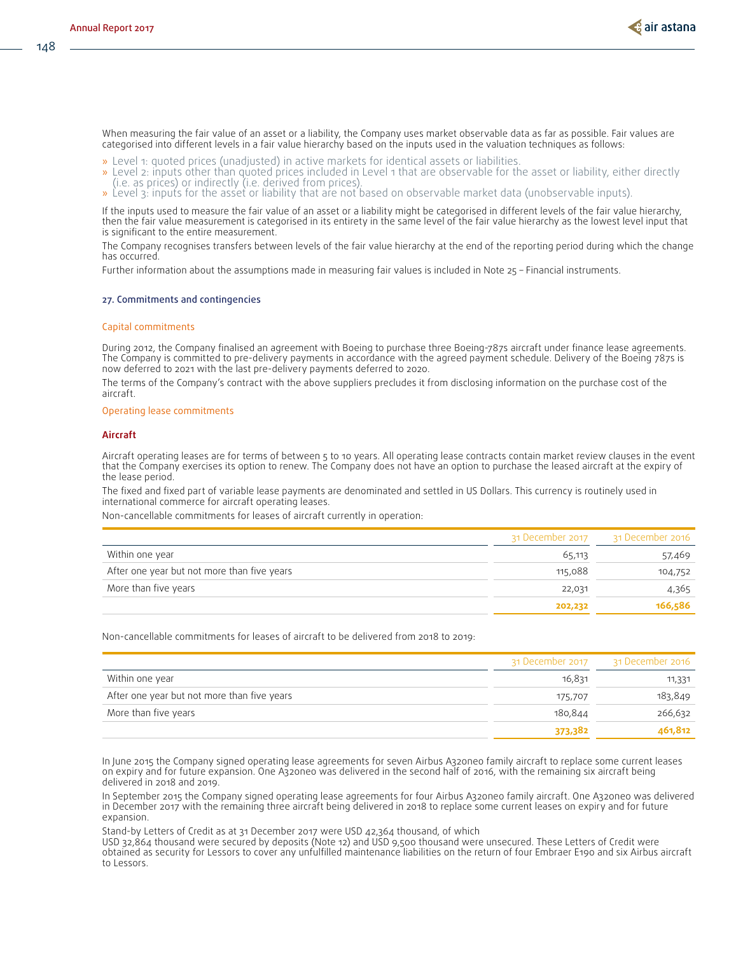

When measuring the fair value of an asset or a liability, the Company uses market observable data as far as possible. Fair values are categorised into different levels in a fair value hierarchy based on the inputs used in the valuation techniques as follows:

- » Level 1: quoted prices (unadjusted) in active markets for identical assets or liabilities.
- » Level 2: inputs other than quoted prices included in Level 1 that are observable for the asset or liability, either directly (i.e. as prices) or indirectly (i.e. derived from prices).
- » Level 3: inputs for the asset or liability that are not based on observable market data (unobservable inputs).

If the inputs used to measure the fair value of an asset or a liability might be categorised in different levels of the fair value hierarchy, then the fair value measurement is categorised in its entirety in the same level of the fair value hierarchy as the lowest level input that is significant to the entire measurement.

The Company recognises transfers between levels of the fair value hierarchy at the end of the reporting period during which the change has occurred.

Further information about the assumptions made in measuring fair values is included in Note 25 – Financial instruments.

### 27. Commitments and contingencies

#### Capital commitments

During 2012, the Company finalised an agreement with Boeing to purchase three Boeing-787s aircraft under finance lease agreements. The Company is committed to pre-delivery payments in accordance with the agreed payment schedule. Delivery of the Boeing 787s is now deferred to 2021 with the last pre-delivery payments deferred to 2020.

The terms of the Company's contract with the above suppliers precludes it from disclosing information on the purchase cost of the aircraft.

### Operating lease commitments

### **Aircraft**

Aircraft operating leases are for terms of between 5 to 10 years. All operating lease contracts contain market review clauses in the event that the Company exercises its option to renew. The Company does not have an option to purchase the leased aircraft at the expiry of the lease period.

The fixed and fixed part of variable lease payments are denominated and settled in US Dollars. This currency is routinely used in international commerce for aircraft operating leases.

Non-cancellable commitments for leases of aircraft currently in operation:

|                                             | 31 December 2017 | 31 December 2016 |
|---------------------------------------------|------------------|------------------|
| Within one year                             | 65,113           | 57,469           |
| After one year but not more than five years | 115,088          | 104,752          |
| More than five years                        | 22,031           | 4,365            |
|                                             | 202,232          | 166,586          |

Non-cancellable commitments for leases of aircraft to be delivered from 2018 to 2019:

|                                             | 31 December 2017 | 31 December 2016 |
|---------------------------------------------|------------------|------------------|
| Within one year                             | 16,831           | 11,331           |
| After one year but not more than five years | 175,707          | 183,849          |
| More than five years                        | 180,844          | 266,632          |
|                                             | 373,382          | 461,812          |

In June 2015 the Company signed operating lease agreements for seven Airbus A320neo family aircraft to replace some current leases on expiry and for future expansion. One A320neo was delivered in the second half of 2016, with the remaining six aircraft being delivered in 2018 and 2019.

In September 2015 the Company signed operating lease agreements for four Airbus A320neo family aircraft. One A320neo was delivered in December 2017 with the remaining three aircraft being delivered in 2018 to replace some current leases on expiry and for future expansion.

Stand-by Letters of Credit as at 31 December 2017 were USD 42,364 thousand, of which

USD 32,864 thousand were secured by deposits (Note 12) and USD 9,500 thousand were unsecured. These Letters of Credit were obtained as security for Lessors to cover any unfulfilled maintenance liabilities on the return of four Embraer E190 and six Airbus aircraft to Lessors.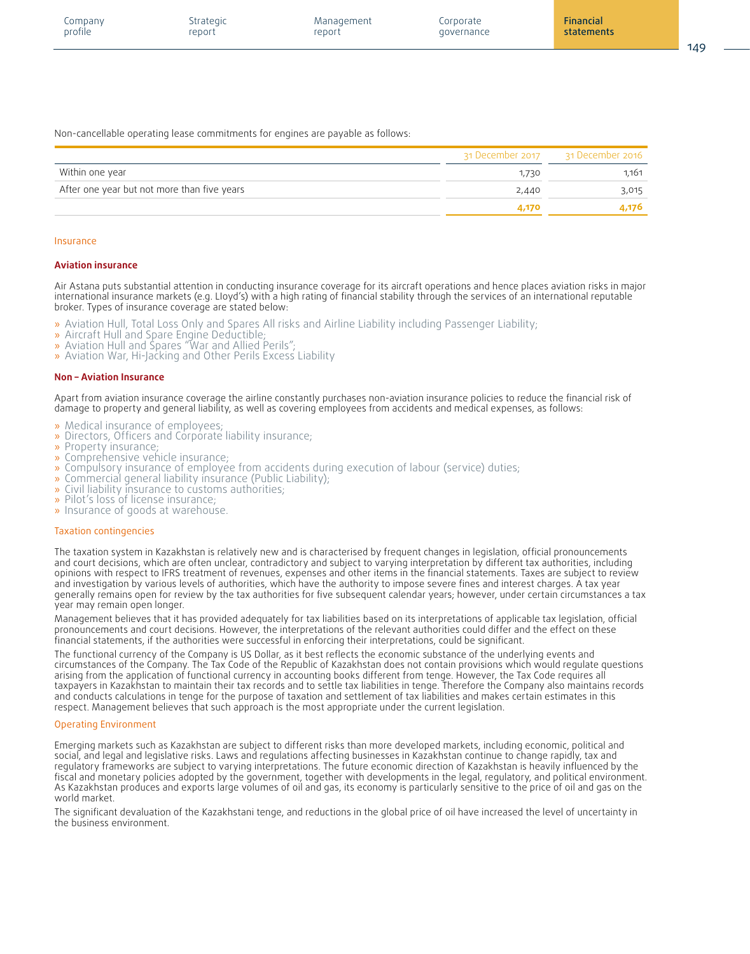| Company | Strategic | Management | Corporate  | <b>Financial</b> |     |
|---------|-----------|------------|------------|------------------|-----|
| profile | report    | report     | qovernance | statements       |     |
|         |           |            |            |                  | 149 |

Non-cancellable operating lease commitments for engines are payable as follows:

|                                             | 31 December 2017 | 31 December 2016 |
|---------------------------------------------|------------------|------------------|
| Within one year                             | 1,730            | 1.161            |
| After one year but not more than five years | 2,440            | 3,015            |
|                                             | 4,170            | 4,176            |

### Insurance

### **Aviation insurance**

Air Astana puts substantial attention in conducting insurance coverage for its aircraft operations and hence places aviation risks in major international insurance markets (e.g. LIoyd's) with a high rating of financial stability through the services of an international reputable broker. Types of insurance coverage are stated below:

» Aviation Hull, Total Loss Only and Spares All risks and Airline Liability including Passenger Liability;

- » Aircraft Hull and Spare Engine Deductible;
- » Aviation Hull and Spares "War and Allied Perils";
- » Aviation War, Hi-Jacking and Other Perils Excess Liability

### **Non – Aviation Insurance**

Apart from aviation insurance coverage the airline constantly purchases non-aviation insurance policies to reduce the financial risk of damage to property and general liability, as well as covering employees from accidents and medical expenses, as follows:

- » Medical insurance of employees;
- » Directors, Officers and Corporate liability insurance;
- » Property insurance;
- » Comprehensive vehicle insurance;
- » Compulsory insurance of employee from accidents during execution of labour (service) duties;
- » Commercial general liability insurance (Public Liability);
- » Civil liability insurance to customs authorities;
- » Pilot's loss of license insurance;
- » Insurance of goods at warehouse.

#### Taxation contingencies

The taxation system in Kazakhstan is relatively new and is characterised by frequent changes in legislation, official pronouncements and court decisions, which are often unclear, contradictory and subject to varying interpretation by different tax authorities, including opinions with respect to IFRS treatment of revenues, expenses and other items in the financial statements. Taxes are subject to review and investigation by various levels of authorities, which have the authority to impose severe fines and interest charges. A tax year generally remains open for review by the tax authorities for five subsequent calendar years; however, under certain circumstances a tax year may remain open longer.

Management believes that it has provided adequately for tax liabilities based on its interpretations of applicable tax legislation, official pronouncements and court decisions. However, the interpretations of the relevant authorities could differ and the effect on these financial statements, if the authorities were successful in enforcing their interpretations, could be significant.

The functional currency of the Company is US Dollar, as it best reflects the economic substance of the underlying events and circumstances of the Company. The Tax Code of the Republic of Kazakhstan does not contain provisions which would regulate questions arising from the application of functional currency in accounting books different from tenge. However, the Tax Code requires all taxpayers in Kazakhstan to maintain their tax records and to settle tax liabilities in tenge. Therefore the Company also maintains records and conducts calculations in tenge for the purpose of taxation and settlement of tax liabilities and makes certain estimates in this respect. Management believes that such approach is the most appropriate under the current legislation.

### Operating Environment

Emerging markets such as Kazakhstan are subject to different risks than more developed markets, including economic, political and social, and legal and legislative risks. Laws and regulations affecting businesses in Kazakhstan continue to change rapidly, tax and regulatory frameworks are subject to varying interpretations. The future economic direction of Kazakhstan is heavily influenced by the fiscal and monetary policies adopted by the government, together with developments in the legal, regulatory, and political environment. As Kazakhstan produces and exports large volumes of oil and gas, its economy is particularly sensitive to the price of oil and gas on the world market.

The significant devaluation of the Kazakhstani tenge, and reductions in the global price of oil have increased the level of uncertainty in the business environment.